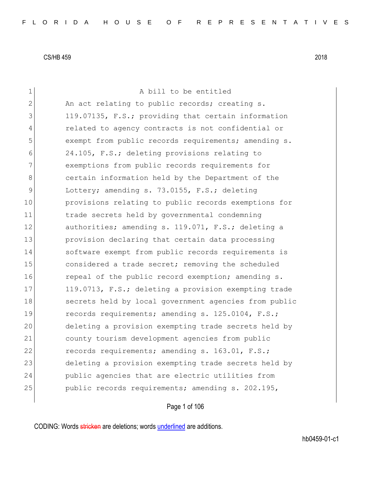| 1              | A bill to be entitled                                 |
|----------------|-------------------------------------------------------|
| $\overline{2}$ | An act relating to public records; creating s.        |
| 3              | 119.07135, F.S.; providing that certain information   |
| 4              | related to agency contracts is not confidential or    |
| 5              | exempt from public records requirements; amending s.  |
| 6              | 24.105, F.S.; deleting provisions relating to         |
| 7              | exemptions from public records requirements for       |
| 8              | certain information held by the Department of the     |
| $\mathsf 9$    | Lottery; amending s. 73.0155, F.S.; deleting          |
| 10             | provisions relating to public records exemptions for  |
| 11             | trade secrets held by governmental condemning         |
| 12             | authorities; amending s. 119.071, F.S.; deleting a    |
| 13             | provision declaring that certain data processing      |
| 14             | software exempt from public records requirements is   |
| 15             | considered a trade secret; removing the scheduled     |
| 16             | repeal of the public record exemption; amending s.    |
| 17             | 119.0713, F.S.; deleting a provision exempting trade  |
| 18             | secrets held by local government agencies from public |
| 19             | records requirements; amending s. 125.0104, F.S.;     |
| 20             | deleting a provision exempting trade secrets held by  |
| 21             | county tourism development agencies from public       |
| 22             | records requirements; amending s. 163.01, F.S.;       |
| 23             | deleting a provision exempting trade secrets held by  |
| 24             | public agencies that are electric utilities from      |
| 25             | public records requirements; amending s. 202.195,     |
|                |                                                       |

# Page 1 of 106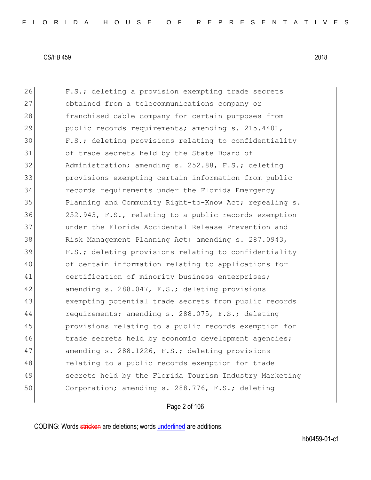26 F.S.; deleting a provision exempting trade secrets 27 obtained from a telecommunications company or 28 franchised cable company for certain purposes from 29 public records requirements; amending s. 215.4401, 30 F.S.; deleting provisions relating to confidentiality 31 of trade secrets held by the State Board of 32 Administration; amending s. 252.88, F.S.; deleting 33 provisions exempting certain information from public 34 records requirements under the Florida Emergency 35 Planning and Community Right-to-Know Act; repealing s. 36 252.943, F.S., relating to a public records exemption 37 under the Florida Accidental Release Prevention and 38 Risk Management Planning Act; amending s. 287.0943, 39 F.S.; deleting provisions relating to confidentiality 40 of certain information relating to applications for 41 certification of minority business enterprises; 42 amending s. 288.047, F.S.; deleting provisions 43 exempting potential trade secrets from public records 44 requirements; amending s. 288.075, F.S.; deleting 45 provisions relating to a public records exemption for 46 trade secrets held by economic development agencies; 47 amending s. 288.1226, F.S.; deleting provisions 48 relating to a public records exemption for trade 49 secrets held by the Florida Tourism Industry Marketing 50 Corporation; amending s. 288.776, F.S.; deleting

## Page 2 of 106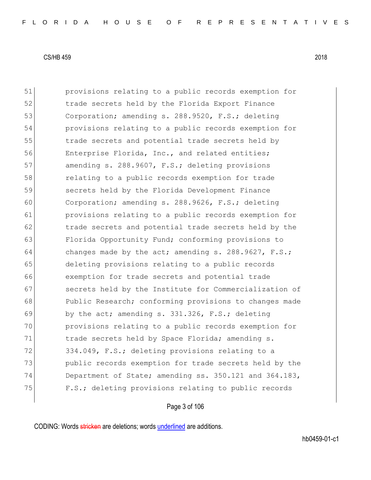51 provisions relating to a public records exemption for 52 trade secrets held by the Florida Export Finance 53 Corporation; amending s. 288.9520, F.S.; deleting 54 provisions relating to a public records exemption for 55 trade secrets and potential trade secrets held by 56 Enterprise Florida, Inc., and related entities; 57 amending s. 288.9607, F.S.; deleting provisions 58 relating to a public records exemption for trade 59 secrets held by the Florida Development Finance 60 Corporation; amending s. 288.9626, F.S.; deleting 61 provisions relating to a public records exemption for 62 trade secrets and potential trade secrets held by the 63 Florida Opportunity Fund; conforming provisions to 64 changes made by the act; amending s. 288.9627,  $F.S.;$ 65 deleting provisions relating to a public records 66 exemption for trade secrets and potential trade 67 secrets held by the Institute for Commercialization of 68 Public Research; conforming provisions to changes made 69 by the act; amending s.  $331.326$ , F.S.; deleting 70 provisions relating to a public records exemption for 71 trade secrets held by Space Florida; amending s. 72 334.049, F.S.; deleting provisions relating to a 73 public records exemption for trade secrets held by the 74 Department of State; amending ss. 350.121 and 364.183, 75 F.S.; deleting provisions relating to public records

# Page 3 of 106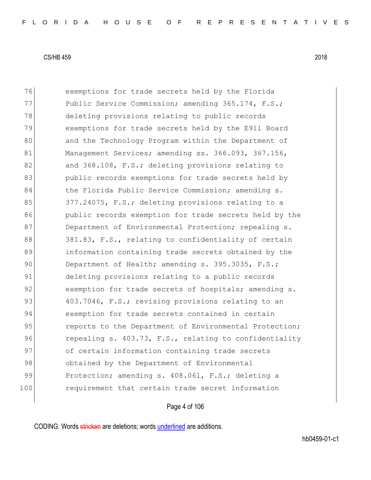76 exemptions for trade secrets held by the Florida 77 Public Service Commission; amending 365.174, F.S.; 78 deleting provisions relating to public records 79 exemptions for trade secrets held by the E911 Board 80 and the Technology Program within the Department of 81 Management Services; amending ss. 366.093, 367.156, 82 and 368.108, F.S.; deleting provisions relating to 83 bublic records exemptions for trade secrets held by 84 the Florida Public Service Commission; amending s. 85 377.24075, F.S.; deleting provisions relating to a 86 public records exemption for trade secrets held by the 87 Department of Environmental Protection; repealing s. 88 381.83, F.S., relating to confidentiality of certain 89 information containing trade secrets obtained by the 90 Department of Health; amending s. 395.3035, F.S.; 91 deleting provisions relating to a public records 92 exemption for trade secrets of hospitals; amending s. 93 403.7046, F.S.; revising provisions relating to an 94 exemption for trade secrets contained in certain 95 **part is reports** to the Department of Environmental Protection; 96 repealing s. 403.73, F.S., relating to confidentiality 97 of certain information containing trade secrets 98 obtained by the Department of Environmental 99 Protection; amending s. 408.061, F.S.; deleting a 100 requirement that certain trade secret information

## Page 4 of 106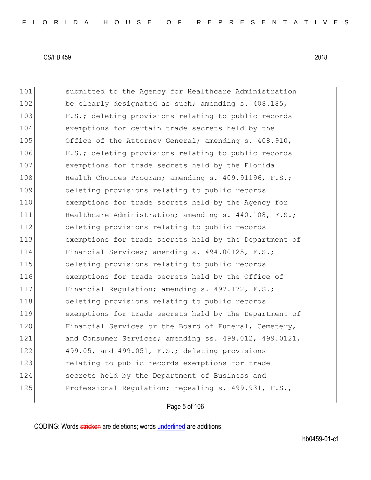101 Submitted to the Agency for Healthcare Administration 102 be clearly designated as such; amending s. 408.185, 103 F.S.; deleting provisions relating to public records 104 exemptions for certain trade secrets held by the 105 Office of the Attorney General; amending s. 408.910, 106 F.S.; deleting provisions relating to public records 107 exemptions for trade secrets held by the Florida 108 Health Choices Program; amending s. 409.91196, F.S.; 109 deleting provisions relating to public records 110 exemptions for trade secrets held by the Agency for 111 Healthcare Administration; amending s. 440.108, F.S.; 112 deleting provisions relating to public records 113 exemptions for trade secrets held by the Department of 114 Financial Services; amending s. 494.00125, F.S.; 115 deleting provisions relating to public records 116 exemptions for trade secrets held by the Office of 117 Financial Regulation; amending s. 497.172, F.S.; 118 deleting provisions relating to public records 119 exemptions for trade secrets held by the Department of 120 Financial Services or the Board of Funeral, Cemetery, 121 and Consumer Services; amending ss. 499.012, 499.0121, 122 499.05, and 499.051, F.S.; deleting provisions 123 relating to public records exemptions for trade 124 secrets held by the Department of Business and 125 Professional Regulation; repealing s. 499.931, F.S.,

# Page 5 of 106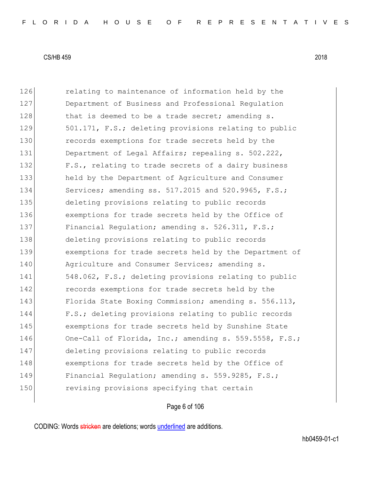126 relating to maintenance of information held by the 127 Department of Business and Professional Regulation 128 that is deemed to be a trade secret; amending s. 129 501.171, F.S.; deleting provisions relating to public 130 records exemptions for trade secrets held by the 131 Department of Legal Affairs; repealing s. 502.222, 132 F.S., relating to trade secrets of a dairy business 133 held by the Department of Agriculture and Consumer 134 Services; amending ss. 517.2015 and 520.9965, F.S.; 135 deleting provisions relating to public records 136 exemptions for trade secrets held by the Office of 137 Financial Requlation; amending s. 526.311, F.S.; 138 deleting provisions relating to public records 139 exemptions for trade secrets held by the Department of 140 Agriculture and Consumer Services; amending s. 141 548.062, F.S.; deleting provisions relating to public 142 **records exemptions for trade secrets held by the** 143 Florida State Boxing Commission; amending s. 556.113, 144 F.S.; deleting provisions relating to public records 145 exemptions for trade secrets held by Sunshine State 146 One-Call of Florida, Inc.; amending s. 559.5558, F.S.; 147 deleting provisions relating to public records 148 exemptions for trade secrets held by the Office of 149 Financial Regulation; amending s. 559.9285, F.S.; 150 revising provisions specifying that certain

# Page 6 of 106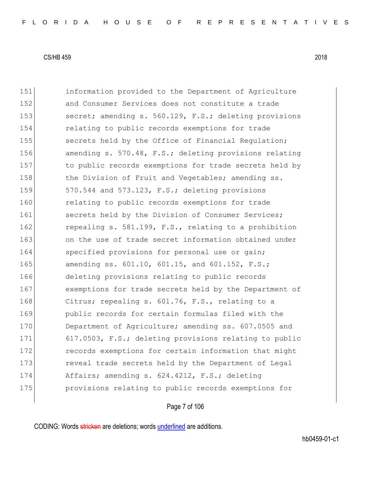151 information provided to the Department of Agriculture 152 and Consumer Services does not constitute a trade 153 secret; amending s. 560.129, F.S.; deleting provisions 154 relating to public records exemptions for trade 155 secrets held by the Office of Financial Requlation; 156 amending s. 570.48, F.S.; deleting provisions relating 157 to public records exemptions for trade secrets held by 158 the Division of Fruit and Vegetables; amending ss. 159 570.544 and 573.123, F.S.; deleting provisions 160 relating to public records exemptions for trade 161 secrets held by the Division of Consumer Services; 162 repealing s. 581.199, F.S., relating to a prohibition 163 on the use of trade secret information obtained under 164 specified provisions for personal use or gain; 165 amending ss. 601.10, 601.15, and 601.152, F.S.; 166 deleting provisions relating to public records 167 exemptions for trade secrets held by the Department of 168 Citrus; repealing s. 601.76, F.S., relating to a 169 public records for certain formulas filed with the 170 Department of Agriculture; amending ss. 607.0505 and 171 617.0503, F.S.; deleting provisions relating to public 172 **records exemptions for certain information that might** 173 reveal trade secrets held by the Department of Legal 174 Affairs; amending s. 624.4212, F.S.; deleting 175 **provisions relating to public records exemptions for** 

# Page 7 of 106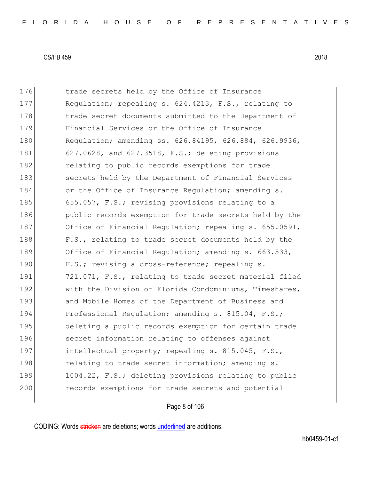176 trade secrets held by the Office of Insurance 177 Requiation; repealing s. 624.4213, F.S., relating to 178 **trade secret documents submitted to the Department of** 179 Financial Services or the Office of Insurance 180 Regulation; amending ss. 626.84195, 626.884, 626.9936, 181 627.0628, and 627.3518, F.S.; deleting provisions 182 **relating to public records exemptions for trade** 183 secrets held by the Department of Financial Services 184 or the Office of Insurance Regulation; amending s. 185 655.057, F.S.; revising provisions relating to a 186 **public records exemption for trade secrets held by the** 187 Office of Financial Regulation; repealing s. 655.0591, 188 F.S., relating to trade secret documents held by the 189 Office of Financial Regulation; amending s. 663.533, 190 F.S.; revising a cross-reference; repealing s. 191 721.071, F.S., relating to trade secret material filed 192 With the Division of Florida Condominiums, Timeshares, 193 and Mobile Homes of the Department of Business and 194 Professional Requlation; amending s. 815.04, F.S.; 195 deleting a public records exemption for certain trade 196 secret information relating to offenses against 197 intellectual property; repealing s. 815.045, F.S., 198 relating to trade secret information; amending s. 199 1004.22, F.S.; deleting provisions relating to public 200 records exemptions for trade secrets and potential

# Page 8 of 106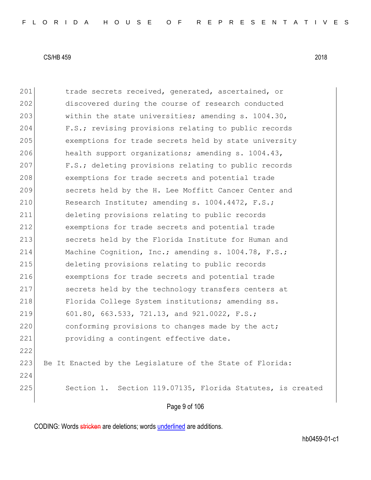|     | Page 9 of 106                                              |
|-----|------------------------------------------------------------|
| 225 | Section 1. Section 119.07135, Florida Statutes, is created |
| 224 |                                                            |
| 223 | Be It Enacted by the Legislature of the State of Florida:  |
| 222 |                                                            |
| 221 | providing a contingent effective date.                     |
| 220 | conforming provisions to changes made by the act;          |
| 219 | 601.80, 663.533, 721.13, and 921.0022, F.S.;               |
| 218 | Florida College System institutions; amending ss.          |
| 217 | secrets held by the technology transfers centers at        |
| 216 | exemptions for trade secrets and potential trade           |
| 215 | deleting provisions relating to public records             |
| 214 | Machine Cognition, Inc.; amending s. 1004.78, F.S.;        |
| 213 | secrets held by the Florida Institute for Human and        |
| 212 | exemptions for trade secrets and potential trade           |
| 211 | deleting provisions relating to public records             |
| 210 | Research Institute; amending s. 1004.4472, F.S.;           |
| 209 | secrets held by the H. Lee Moffitt Cancer Center and       |
| 208 | exemptions for trade secrets and potential trade           |
| 207 | F.S.; deleting provisions relating to public records       |
| 206 | health support organizations; amending s. 1004.43,         |
| 205 | exemptions for trade secrets held by state university      |
| 204 | F.S.; revising provisions relating to public records       |
| 203 | within the state universities; amending s. 1004.30,        |
| 202 | discovered during the course of research conducted         |
| 201 | trade secrets received, generated, ascertained, or         |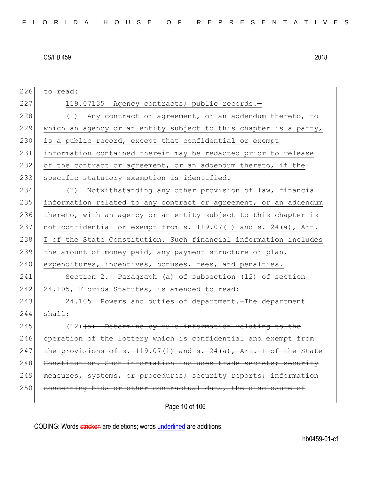| 226 | to read:                                                              |
|-----|-----------------------------------------------------------------------|
| 227 | 119.07135 Agency contracts; public records.-                          |
| 228 | (1) Any contract or agreement, or an addendum thereto, to             |
| 229 | which an agency or an entity subject to this chapter is a party,      |
| 230 | is a public record, except that confidential or exempt                |
| 231 | information contained therein may be redacted prior to release        |
| 232 | of the contract or agreement, or an addendum thereto, if the          |
| 233 | specific statutory exemption is identified.                           |
| 234 | (2) Notwithstanding any other provision of law, financial             |
| 235 | information related to any contract or agreement, or an addendum      |
| 236 | thereto, with an agency or an entity subject to this chapter is       |
| 237 | not confidential or exempt from s. 119.07(1) and s. 24(a), Art.       |
| 238 | I of the State Constitution. Such financial information includes      |
| 239 | the amount of money paid, any payment structure or plan,              |
| 240 | expenditures, incentives, bonuses, fees, and penalties.               |
| 241 | Section 2. Paragraph (a) of subsection (12) of section                |
| 242 | 24.105, Florida Statutes, is amended to read:                         |
| 243 | 24.105 Powers and duties of department. The department                |
| 244 | shall:                                                                |
| 245 | $(12)$ $(a)$ Determine by rule information relating to the            |
| 246 | operation of the lottery which is confidential and exempt from        |
| 247 | the provisions of s. $119.07(1)$ and s. $24(a)$ , Art. I of the State |
| 248 | Constitution. Such information includes trade secrets; security       |
| 249 | measures, systems, or procedures; security reports; information       |
| 250 | concerning bids or other contractual data, the disclosure of          |
|     |                                                                       |

Page 10 of 106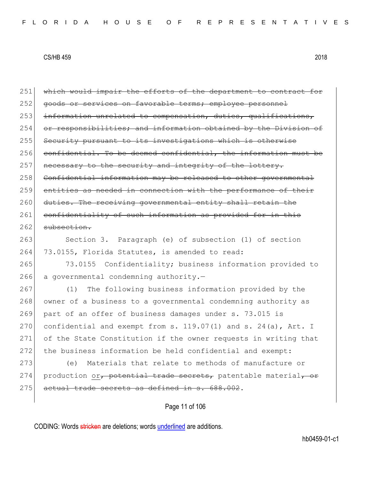| 251 | which would impair the efforts of the department to contract for    |
|-----|---------------------------------------------------------------------|
| 252 | goods or services on favorable terms; employee personnel            |
| 253 | information unrelated to compensation, duties, qualifications,      |
| 254 | or responsibilities; and information obtained by the Division of    |
| 255 | Security pursuant to its investigations which is otherwise          |
| 256 | confidential. To be deemed confidential, the information must be    |
| 257 | necessary to the security and integrity of the lottery.             |
| 258 | Confidential information may be released to other governmental      |
| 259 | entities as needed in connection with the performance of their      |
| 260 | duties. The receiving governmental entity shall retain the          |
| 261 | confidentiality of such information as provided for in this         |
| 262 | subsection.                                                         |
| 263 | Section 3. Paragraph (e) of subsection (1) of section               |
| 264 | 73.0155, Florida Statutes, is amended to read:                      |
| 265 | 73.0155 Confidentiality; business information provided to           |
| 266 | a governmental condemning authority.-                               |
| 267 | The following business information provided by the<br>(1)           |
| 268 | owner of a business to a governmental condemning authority as       |
| 269 | part of an offer of business damages under s. 73.015 is             |
| 270 | confidential and exempt from s. $119.07(1)$ and s. $24(a)$ , Art. I |
| 271 | of the State Constitution if the owner requests in writing that     |
| 272 | the business information be held confidential and exempt:           |
| 273 | Materials that relate to methods of manufacture or<br>(e)           |
| 274 | production or, potential trade secrets, patentable material, or     |
| 275 | actual trade secrets as defined in s. 688.002.                      |
|     |                                                                     |

Page 11 of 106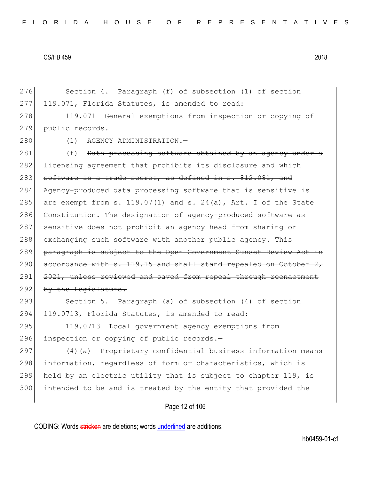276 Section 4. Paragraph (f) of subsection (1) of section 277 119.071, Florida Statutes, is amended to read: 278 119.071 General exemptions from inspection or copying of

279 public records.—

280 (1) AGENCY ADMINISTRATION.

281 (f) Data processing software obtained by an agency under a 282 <del>licensing agreement that prohibits its disclosure and which</del> 283 software is a trade secret, as defined in  $s. 812.081$ , and 284 Agency-produced data processing software that is sensitive is 285  $\overline{are}$  exempt from s. 119.07(1) and s. 24(a), Art. I of the State 286 Constitution. The designation of agency-produced software as 287 sensitive does not prohibit an agency head from sharing or 288 exchanging such software with another public agency. This 289 paragraph is subject to the Open Government Sunset Review Act in  $290$  accordance with s. 119.15 and shall stand repealed on October 2, 291 2021, unless reviewed and saved from repeal through reenactment 292 by the Legislature.

293 Section 5. Paragraph (a) of subsection (4) of section 294 119.0713, Florida Statutes, is amended to read:

295 119.0713 Local government agency exemptions from 296 inspection or copying of public records.-

297 (4) (a) Proprietary confidential business information means 298 information, regardless of form or characteristics, which is 299 held by an electric utility that is subject to chapter 119, is 300 intended to be and is treated by the entity that provided the

# Page 12 of 106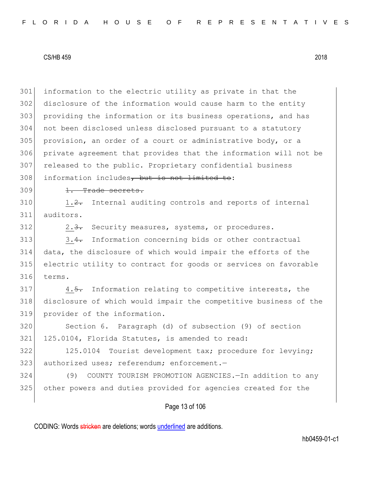information to the electric utility as private in that the disclosure of the information would cause harm to the entity providing the information or its business operations, and has not been disclosed unless disclosed pursuant to a statutory provision, an order of a court or administrative body, or a private agreement that provides that the information will not be released to the public. Proprietary confidential business 308 information includes, but is not limited to:

#### 309 <del>1. Trade secrets.</del>

 $310$  1.2. Internal auditing controls and reports of internal 311 auditors.

312 2.3. Security measures, systems, or procedures.

313 3.4. Information concerning bids or other contractual 314 data, the disclosure of which would impair the efforts of the 315 electric utility to contract for goods or services on favorable 316 terms.

317 4.5. Information relating to competitive interests, the 318 disclosure of which would impair the competitive business of the 319 provider of the information.

320 Section 6. Paragraph (d) of subsection (9) of section 321 125.0104, Florida Statutes, is amended to read:

322 125.0104 Tourist development tax; procedure for levying; 323 authorized uses; referendum; enforcement.-

324 (9) COUNTY TOURISM PROMOTION AGENCIES.—In addition to any 325 other powers and duties provided for agencies created for the

# Page 13 of 106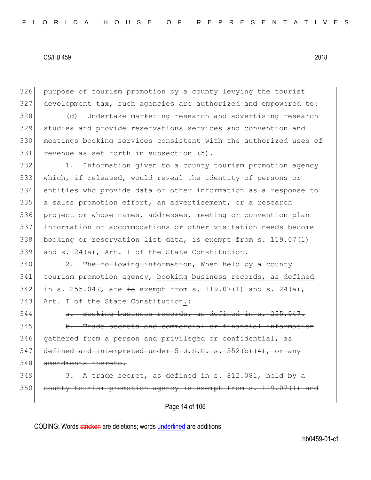326 purpose of tourism promotion by a county levying the tourist 327 development tax, such agencies are authorized and empowered to:

328 (d) Undertake marketing research and advertising research 329 studies and provide reservations services and convention and 330 meetings booking services consistent with the authorized uses of 331 revenue as set forth in subsection (5).

 1. Information given to a county tourism promotion agency which, if released, would reveal the identity of persons or entities who provide data or other information as a response to a sales promotion effort, an advertisement, or a research project or whose names, addresses, meeting or convention plan information or accommodations or other visitation needs become booking or reservation list data, is exempt from s. 119.07(1) and s. 24(a), Art. I of the State Constitution.

 $340$  2. The following information, When held by a county 341 tourism promotion agency, booking business records, as defined 342 in s. 255.047, are  $\frac{1}{2}$  exempt from s. 119.07(1) and s. 24(a), 343 Art. I of the State Constitution.:

344 a. Booking business records, as defined in s. 255.047. 345 b. Trade secrets and commercial or financial information 346 gathered from a person and privileged or confidential, as  $347$  defined and interpreted under 5 U.S.C. s. 552(b)(4), or any 348 amendments thereto.

# $349$  3. A trade secret, as defined in s.  $812.081$ , held by a 350 county tourism promotion agency is exempt from s. 119.07(1) and

Page 14 of 106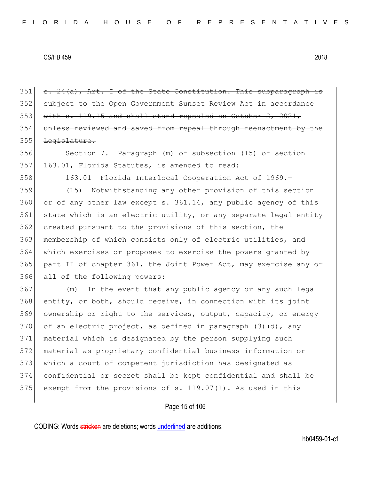$351$  s.  $24(a)$ , Art. I of the State Constitution. This subparagraph is 352 subject to the Open Government Sunset Review Act in accordance  $353$  with s. 119.15 and shall stand repealed on October 2, 2021, 354 unless reviewed and saved from repeal through reenactment by the 355 <del>Legislature.</del>

356 Section 7. Paragraph (m) of subsection (15) of section 357 163.01, Florida Statutes, is amended to read:

358 163.01 Florida Interlocal Cooperation Act of 1969.—

 (15) Notwithstanding any other provision of this section or of any other law except s.  $361.14$ , any public agency of this 361 state which is an electric utility, or any separate legal entity 362 created pursuant to the provisions of this section, the 363 membership of which consists only of electric utilities, and which exercises or proposes to exercise the powers granted by part II of chapter 361, the Joint Power Act, may exercise any or all of the following powers:

 (m) In the event that any public agency or any such legal entity, or both, should receive, in connection with its joint ownership or right to the services, output, capacity, or energy 370 of an electric project, as defined in paragraph  $(3)(d)$ , any material which is designated by the person supplying such material as proprietary confidential business information or 373 which a court of competent jurisdiction has designated as confidential or secret shall be kept confidential and shall be 375 exempt from the provisions of s.  $119.07(1)$ . As used in this

## Page 15 of 106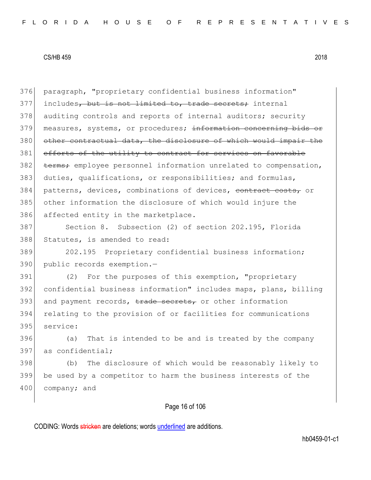376 paragraph, "proprietary confidential business information" 377 includes, but is not limited to, trade secrets; internal 378 auditing controls and reports of internal auditors; security 379 measures, systems, or procedures; information concerning bids or 380 other contractual data, the disclosure of which would impair the 381 efforts of the utility to contract for services on favorable 382 terms; employee personnel information unrelated to compensation, 383 duties, qualifications, or responsibilities; and formulas, 384 patterns, devices, combinations of devices, contract costs, or 385 other information the disclosure of which would injure the 386 affected entity in the marketplace.

387 Section 8. Subsection (2) of section 202.195, Florida 388 Statutes, is amended to read:

389 202.195 Proprietary confidential business information; 390 public records exemption.-

391 (2) For the purposes of this exemption, "proprietary 392 confidential business information" includes maps, plans, billing 393 and payment records,  $\frac{1}{100}$  records,  $\frac{1}{100}$  and  $\frac{1}{100}$  and  $\frac{1}{100}$  and  $\frac{1}{100}$  and  $\frac{1}{100}$  and  $\frac{1}{100}$  and  $\frac{1}{100}$  and  $\frac{1}{100}$  and  $\frac{1}{100}$  and  $\frac{1}{100}$  and  $\frac{1}{100}$  and 394 relating to the provision of or facilities for communications 395 service:

396 (a) That is intended to be and is treated by the company 397 as confidential;

398 (b) The disclosure of which would be reasonably likely to 399 be used by a competitor to harm the business interests of the 400 company; and

# Page 16 of 106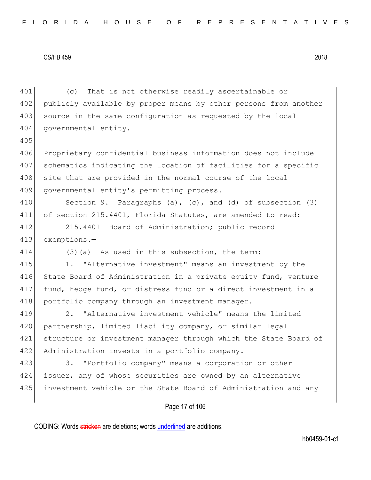401 (c) That is not otherwise readily ascertainable or 402 publicly available by proper means by other persons from another 403 source in the same configuration as requested by the local 404 governmental entity. 405 406 Proprietary confidential business information does not include 407 schematics indicating the location of facilities for a specific 408 site that are provided in the normal course of the local 409 governmental entity's permitting process. 410 Section 9. Paragraphs (a), (c), and (d) of subsection (3) 411 of section 215.4401, Florida Statutes, are amended to read: 412 215.4401 Board of Administration; public record 413 exemptions.— 414 (3) (a) As used in this subsection, the term: 415 1. "Alternative investment" means an investment by the 416 State Board of Administration in a private equity fund, venture 417 fund, hedge fund, or distress fund or a direct investment in a 418 portfolio company through an investment manager. 419 2. "Alternative investment vehicle" means the limited 420 partnership, limited liability company, or similar legal 421 structure or investment manager through which the State Board of 422 Administration invests in a portfolio company. 423 3. "Portfolio company" means a corporation or other 424 issuer, any of whose securities are owned by an alternative 425 investment vehicle or the State Board of Administration and any

# Page 17 of 106

CODING: Words stricken are deletions; words underlined are additions.

hb0459-01-c1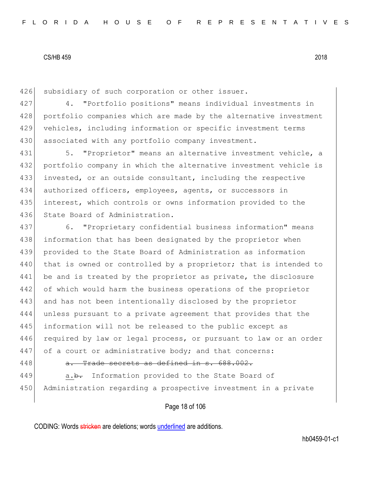426 subsidiary of such corporation or other issuer.

427 4. "Portfolio positions" means individual investments in 428 portfolio companies which are made by the alternative investment 429 vehicles, including information or specific investment terms 430 associated with any portfolio company investment.

431 5. "Proprietor" means an alternative investment vehicle, a portfolio company in which the alternative investment vehicle is invested, or an outside consultant, including the respective authorized officers, employees, agents, or successors in interest, which controls or owns information provided to the 436 State Board of Administration.

437 6. "Proprietary confidential business information" means 438 information that has been designated by the proprietor when 439 provided to the State Board of Administration as information 440 that is owned or controlled by a proprietor; that is intended to 441 be and is treated by the proprietor as private, the disclosure 442 of which would harm the business operations of the proprietor 443 and has not been intentionally disclosed by the proprietor 444 unless pursuant to a private agreement that provides that the 445 information will not be released to the public except as 446 required by law or legal process, or pursuant to law or an order 447 of a court or administrative body; and that concerns:  $448$  a. Trade secrets as defined in s.  $688.002$ .

449 a.<del>b.</del> Information provided to the State Board of 450 Administration regarding a prospective investment in a private

# Page 18 of 106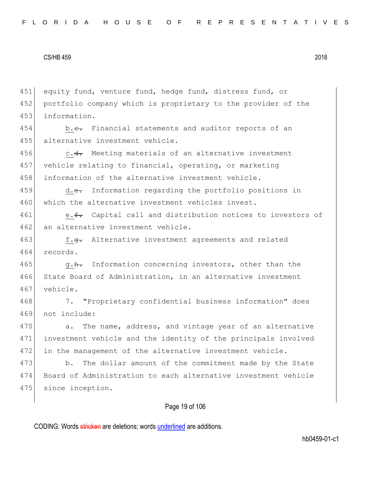451 equity fund, venture fund, hedge fund, distress fund, or 452 portfolio company which is proprietary to the provider of the 453 information.

454 b.c. Financial statements and auditor reports of an 455 alternative investment vehicle.

456 c.<del>d.</del> Meeting materials of an alternative investment 457 vehicle relating to financial, operating, or marketing 458 information of the alternative investment vehicle.

459 d.e. Information regarding the portfolio positions in 460 which the alternative investment vehicles invest.

461 e.f. Capital call and distribution notices to investors of 462 an alternative investment vehicle.

463 f.<del>g.</del> Alternative investment agreements and related 464 records.

465 g.h. Information concerning investors, other than the 466 State Board of Administration, in an alternative investment 467 vehicle.

468 7. "Proprietary confidential business information" does 469 not include:

470 a. The name, address, and vintage year of an alternative 471 investment vehicle and the identity of the principals involved 472 in the management of the alternative investment vehicle.

473 b. The dollar amount of the commitment made by the State 474 Board of Administration to each alternative investment vehicle 475 since inception.

# Page 19 of 106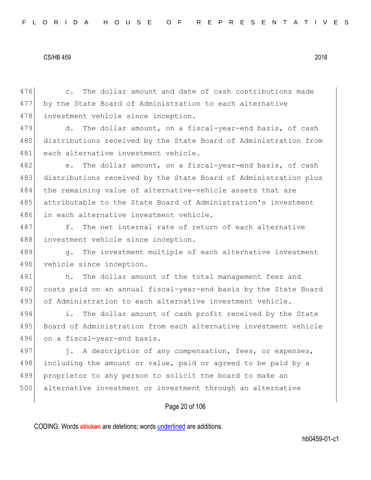476 c. The dollar amount and date of cash contributions made 477 by the State Board of Administration to each alternative 478 investment vehicle since inception.

479 d. The dollar amount, on a fiscal-year-end basis, of cash 480 distributions received by the State Board of Administration from 481 each alternative investment vehicle.

482 e. The dollar amount, on a fiscal-year-end basis, of cash 483 distributions received by the State Board of Administration plus 484 the remaining value of alternative-vehicle assets that are 485 attributable to the State Board of Administration's investment 486 in each alternative investment vehicle.

487 f. The net internal rate of return of each alternative 488 investment vehicle since inception.

489 g. The investment multiple of each alternative investment 490 vehicle since inception.

491 h. The dollar amount of the total management fees and 492 costs paid on an annual fiscal-year-end basis by the State Board 493 of Administration to each alternative investment vehicle.

494 i. The dollar amount of cash profit received by the State 495 Board of Administration from each alternative investment vehicle 496 on a fiscal-year-end basis.

497 j. A description of any compensation, fees, or expenses, 498 including the amount or value, paid or agreed to be paid by a 499 proprietor to any person to solicit the board to make an 500 alternative investment or investment through an alternative

## Page 20 of 106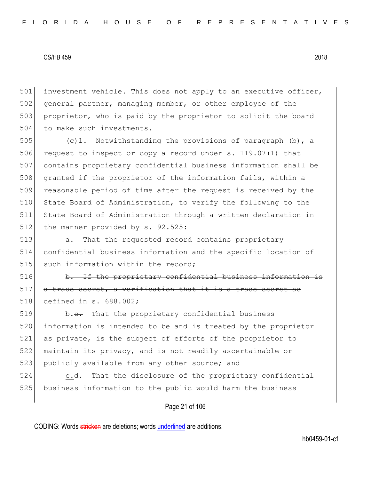501 investment vehicle. This does not apply to an executive officer, 502 general partner, managing member, or other employee of the 503 proprietor, who is paid by the proprietor to solicit the board 504 to make such investments.

505  $(c)$ 1. Notwithstanding the provisions of paragraph (b), a 506 request to inspect or copy a record under s. 119.07(1) that 507 contains proprietary confidential business information shall be 508 granted if the proprietor of the information fails, within a 509 reasonable period of time after the request is received by the 510 State Board of Administration, to verify the following to the 511 State Board of Administration through a written declaration in 512 the manner provided by s. 92.525:

513 **a.** That the requested record contains proprietary 514 confidential business information and the specific location of 515 such information within the record;

 $516$  b. If the proprietary confidential business information is 517 a trade secret, a verification that it is a trade secret as  $518$  defined in s. 688.002:

519 b.<del>c.</del> That the proprietary confidential business 520 information is intended to be and is treated by the proprietor 521 as private, is the subject of efforts of the proprietor to 522 maintain its privacy, and is not readily ascertainable or 523 publicly available from any other source; and

524 c.<del>d.</del> That the disclosure of the proprietary confidential 525 business information to the public would harm the business

# Page 21 of 106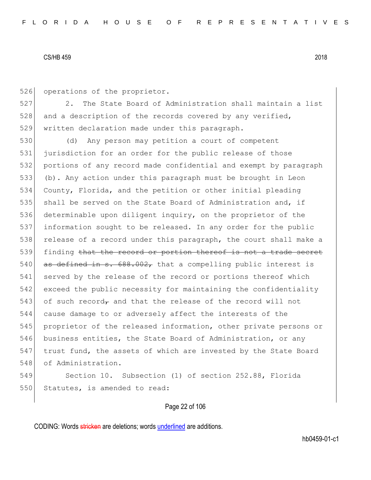526 operations of the proprietor.

527 2. The State Board of Administration shall maintain a list  $528$  and a description of the records covered by any verified, 529 written declaration made under this paragraph.

 (d) Any person may petition a court of competent jurisdiction for an order for the public release of those portions of any record made confidential and exempt by paragraph (b). Any action under this paragraph must be brought in Leon County, Florida, and the petition or other initial pleading 535 shall be served on the State Board of Administration and, if 536 determinable upon diligent inquiry, on the proprietor of the information sought to be released. In any order for the public 538 release of a record under this paragraph, the court shall make a 539 finding that the record or portion thereof is not a trade secret  $\sigma$  as defined in s. 688.002, that a compelling public interest is 541 served by the release of the record or portions thereof which exceed the public necessity for maintaining the confidentiality 543 of such record, and that the release of the record will not cause damage to or adversely affect the interests of the proprietor of the released information, other private persons or business entities, the State Board of Administration, or any trust fund, the assets of which are invested by the State Board 548 of Administration.

549 Section 10. Subsection (1) of section 252.88, Florida 550 Statutes, is amended to read:

# Page 22 of 106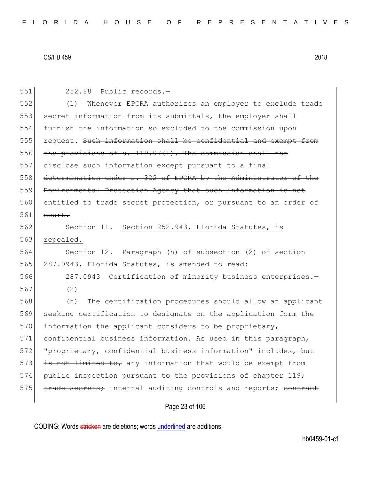| 551 | 252.88 Public records.-                                         |
|-----|-----------------------------------------------------------------|
| 552 | Whenever EPCRA authorizes an employer to exclude trade<br>(1)   |
| 553 | secret information from its submittals, the employer shall      |
| 554 | furnish the information so excluded to the commission upon      |
| 555 | request. Such information shall be confidential and exempt from |
| 556 | the provisions of $s. 119.07(1)$ . The commission shall not     |
| 557 | disclose such information except pursuant to a final            |
| 558 | determination under s. 322 of EPCRA by the Administrator of the |
| 559 | Environmental Protection Agency that such information is not    |
| 560 | entitled to trade secret protection, or pursuant to an order of |
| 561 | court.                                                          |
| 562 | Section 11. Section 252.943, Florida Statutes, is               |
| 563 | repealed.                                                       |
| 564 | Section 12. Paragraph (h) of subsection (2) of section          |
| 565 | 287.0943, Florida Statutes, is amended to read:                 |
| 566 | 287.0943 Certification of minority business enterprises.-       |
| 567 | (2)                                                             |
| 568 | The certification procedures should allow an applicant<br>(h)   |
| 569 | seeking certification to designate on the application form the  |
| 570 | information the applicant considers to be proprietary,          |
| 571 | confidential business information. As used in this paragraph,   |
| 572 | "proprietary, confidential business information" includes, but  |
| 573 | is not limited to, any information that would be exempt from    |
| 574 | public inspection pursuant to the provisions of chapter 119;    |
| 575 | trade secrets; internal auditing controls and reports; contract |
|     | Page 23 of 106                                                  |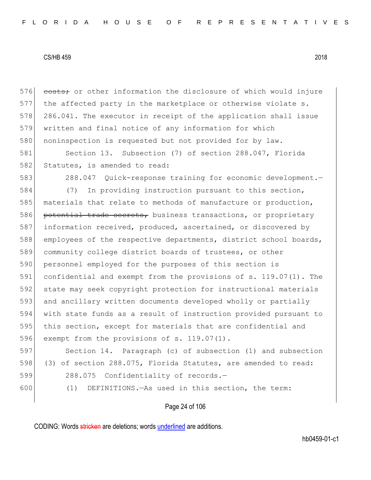576 costs; or other information the disclosure of which would injure 577 the affected party in the marketplace or otherwise violate s. 578 286.041. The executor in receipt of the application shall issue 579 written and final notice of any information for which 580 noninspection is requested but not provided for by law.

581 Section 13. Subsection (7) of section 288.047, Florida 582 Statutes, is amended to read:

583 288.047 Quick-response training for economic development.

584 (7) In providing instruction pursuant to this section, 585 materials that relate to methods of manufacture or production, 586 potential trade secrets, business transactions, or proprietary 587 information received, produced, ascertained, or discovered by 588 employees of the respective departments, district school boards, 589 community college district boards of trustees, or other 590 personnel employed for the purposes of this section is 591 confidential and exempt from the provisions of s. 119.07(1). The 592 state may seek copyright protection for instructional materials 593 and ancillary written documents developed wholly or partially 594 with state funds as a result of instruction provided pursuant to 595 this section, except for materials that are confidential and 596 exempt from the provisions of s. 119.07(1).

597 Section 14. Paragraph (c) of subsection (1) and subsection 598 (3) of section 288.075, Florida Statutes, are amended to read: 599 288.075 Confidentiality of records.-

600 (1) DEFINITIONS.—As used in this section, the term:

## Page 24 of 106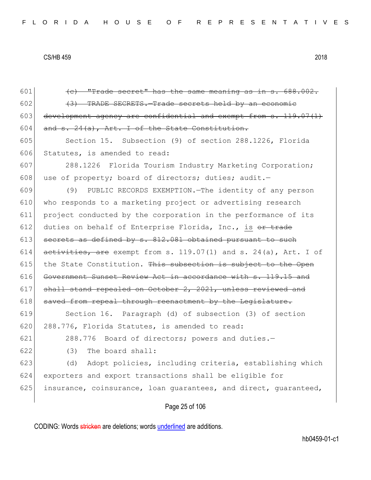| 601 | (e) "Trade secret" has the same meaning as in s. 688.002.        |
|-----|------------------------------------------------------------------|
| 602 | (3) TRADE SECRETS. Trade secrets held by an economic             |
| 603 | development agency are confidential and exempt from s. 119.07(1) |
| 604 | and s. 24(a), Art. I of the State Constitution.                  |
| 605 | Section 15. Subsection (9) of section 288.1226, Florida          |
| 606 | Statutes, is amended to read:                                    |
| 607 | 288.1226 Florida Tourism Industry Marketing Corporation;         |
| 608 | use of property; board of directors; duties; audit.-             |
| 609 | (9) PUBLIC RECORDS EXEMPTION. The identity of any person         |
| 610 | who responds to a marketing project or advertising research      |
| 611 | project conducted by the corporation in the performance of its   |
| 612 | duties on behalf of Enterprise Florida, Inc., is or trade        |
| 613 | secrets as defined by s. 812.081 obtained pursuant to such       |
| 614 | activities, are exempt from s. 119.07(1) and s. 24(a), Art. I of |
| 615 | the State Constitution. This subsection is subject to the Open   |
| 616 | Government Sunset Review Act in accordance with s. 119.15 and    |
| 617 | shall stand repealed on October 2, 2021, unless reviewed and     |
| 618 | saved from repeal through reenactment by the Legislature.        |
| 619 | Section 16. Paragraph (d) of subsection (3) of section           |
| 620 | 288.776, Florida Statutes, is amended to read:                   |
| 621 | 288.776 Board of directors; powers and duties.-                  |
| 622 | (3)<br>The board shall:                                          |
| 623 | Adopt policies, including criteria, establishing which<br>(d)    |
| 624 | exporters and export transactions shall be eligible for          |
| 625 | insurance, coinsurance, loan quarantees, and direct, quaranteed, |
|     | Page 25 of 106                                                   |
|     |                                                                  |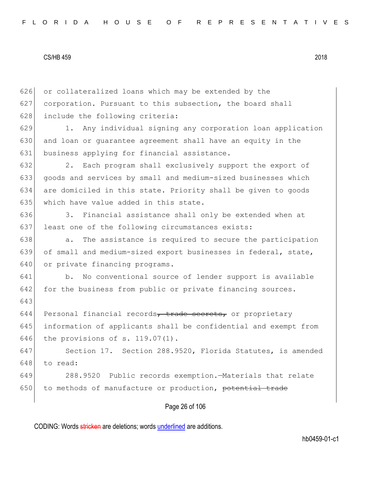626 or collateralized loans which may be extended by the 627 corporation. Pursuant to this subsection, the board shall 628 include the following criteria: 629 1. Any individual signing any corporation loan application 630 and loan or quarantee agreement shall have an equity in the 631 business applying for financial assistance. 632 2. Each program shall exclusively support the export of 633 goods and services by small and medium-sized businesses which 634 are domiciled in this state. Priority shall be given to goods 635 which have value added in this state. 636 3. Financial assistance shall only be extended when at 637 least one of the following circumstances exists: 638 a. The assistance is required to secure the participation 639 of small and medium-sized export businesses in federal, state, 640 or private financing programs. 641 b. No conventional source of lender support is available 642 for the business from public or private financing sources. 643 644 Personal financial records, trade secrets, or proprietary 645 information of applicants shall be confidential and exempt from 646 the provisions of s. 119.07(1). 647 Section 17. Section 288.9520, Florida Statutes, is amended 648 to read: 649 288.9520 Public records exemption.—Materials that relate 650 to methods of manufacture or production, potential trade

Page 26 of 106

CODING: Words stricken are deletions; words underlined are additions.

hb0459-01-c1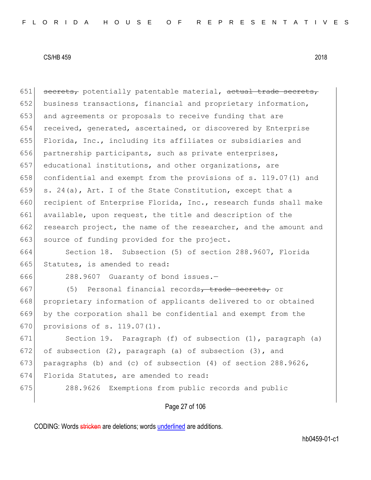$651$  secrets, potentially patentable material, actual trade secrets, 652 business transactions, financial and proprietary information, 653 and agreements or proposals to receive funding that are 654 received, generated, ascertained, or discovered by Enterprise 655 Florida, Inc., including its affiliates or subsidiaries and 656 partnership participants, such as private enterprises, 657 educational institutions, and other organizations, are 658 confidential and exempt from the provisions of s. 119.07(1) and 659 s. 24(a), Art. I of the State Constitution, except that a 660 recipient of Enterprise Florida, Inc., research funds shall make 661 available, upon request, the title and description of the 662 research project, the name of the researcher, and the amount and 663 source of funding provided for the project. 664 Section 18. Subsection (5) of section 288.9607, Florida 665 Statutes, is amended to read: 666 288.9607 Guaranty of bond issues.— 667 (5) Personal financial records, trade secrets, or 668 proprietary information of applicants delivered to or obtained 669 by the corporation shall be confidential and exempt from the 670 provisions of s. 119.07(1). 671 Section 19. Paragraph (f) of subsection (1), paragraph (a) 672 of subsection  $(2)$ , paragraph  $(a)$  of subsection  $(3)$ , and 673 paragraphs (b) and (c) of subsection  $(4)$  of section 288.9626, 674 Florida Statutes, are amended to read:

675 288.9626 Exemptions from public records and public

# Page 27 of 106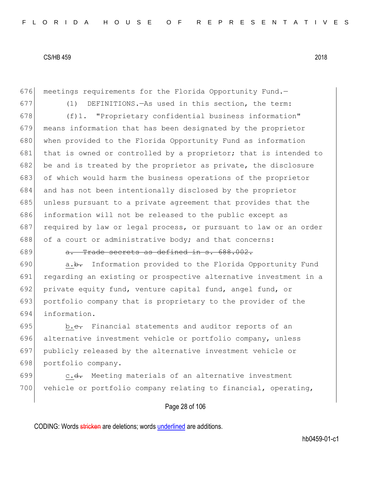676 meetings requirements for the Florida Opportunity Fund.-677 (1) DEFINITIONS.—As used in this section, the term: 678 (f)1. "Proprietary confidential business information" 679 means information that has been designated by the proprietor 680 when provided to the Florida Opportunity Fund as information 681 that is owned or controlled by a proprietor; that is intended to 682 be and is treated by the proprietor as private, the disclosure 683 of which would harm the business operations of the proprietor 684 and has not been intentionally disclosed by the proprietor 685 unless pursuant to a private agreement that provides that the 686 information will not be released to the public except as 687 required by law or legal process, or pursuant to law or an order 688 of a court or administrative body; and that concerns:

689 a. Trade secrets as defined in s. 688.002.

**a.b.** Information provided to the Florida Opportunity Fund regarding an existing or prospective alternative investment in a private equity fund, venture capital fund, angel fund, or portfolio company that is proprietary to the provider of the information.

695 b.c. Financial statements and auditor reports of an alternative investment vehicle or portfolio company, unless publicly released by the alternative investment vehicle or portfolio company.

699 c.<del>d.</del> Meeting materials of an alternative investment 700 vehicle or portfolio company relating to financial, operating,

Page 28 of 106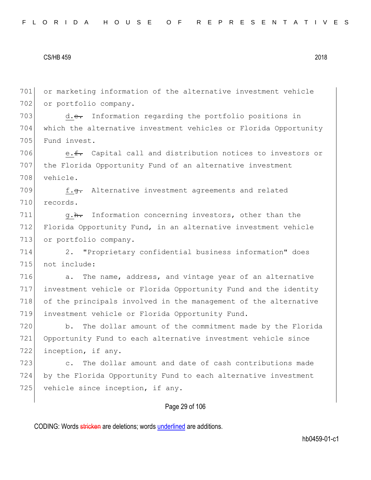701 or marketing information of the alternative investment vehicle 702 or portfolio company.

703 d.<del>e.</del> Information regarding the portfolio positions in 704 which the alternative investment vehicles or Florida Opportunity 705 Fund invest.

706  $e.f.$  Capital call and distribution notices to investors or 707 the Florida Opportunity Fund of an alternative investment 708 vehicle.

709 f.<del>g.</del> Alternative investment agreements and related 710 records.

711 g.h. Information concerning investors, other than the 712 Florida Opportunity Fund, in an alternative investment vehicle 713 or portfolio company.

714 2. "Proprietary confidential business information" does 715 not include:

716 a. The name, address, and vintage year of an alternative 717 investment vehicle or Florida Opportunity Fund and the identity 718 of the principals involved in the management of the alternative 719 investment vehicle or Florida Opportunity Fund.

720 b. The dollar amount of the commitment made by the Florida 721 Opportunity Fund to each alternative investment vehicle since 722 inception, if any.

723 c. The dollar amount and date of cash contributions made 724 by the Florida Opportunity Fund to each alternative investment 725 vehicle since inception, if any.

# Page 29 of 106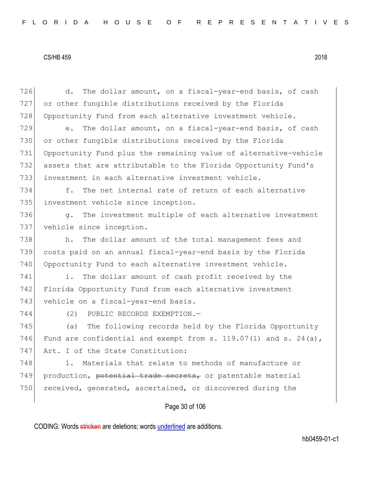726 d. The dollar amount, on a fiscal-year-end basis, of cash 727 or other fungible distributions received by the Florida 728 Opportunity Fund from each alternative investment vehicle.

729 e. The dollar amount, on a fiscal-year-end basis, of cash or other fungible distributions received by the Florida Opportunity Fund plus the remaining value of alternative-vehicle assets that are attributable to the Florida Opportunity Fund's investment in each alternative investment vehicle.

734 f. The net internal rate of return of each alternative 735 investment vehicle since inception.

736 g. The investment multiple of each alternative investment 737 vehicle since inception.

738 h. The dollar amount of the total management fees and 739 costs paid on an annual fiscal-year-end basis by the Florida 740 Opportunity Fund to each alternative investment vehicle.

741 i. The dollar amount of cash profit received by the 742 Florida Opportunity Fund from each alternative investment 743 vehicle on a fiscal-year-end basis.

744 (2) PUBLIC RECORDS EXEMPTION.—

745 (a) The following records held by the Florida Opportunity 746 Fund are confidential and exempt from s.  $119.07(1)$  and s.  $24(a)$ , 747 Art. I of the State Constitution:

748 1. Materials that relate to methods of manufacture or 749 production, potential trade secrets, or patentable material 750 received, generated, ascertained, or discovered during the

# Page 30 of 106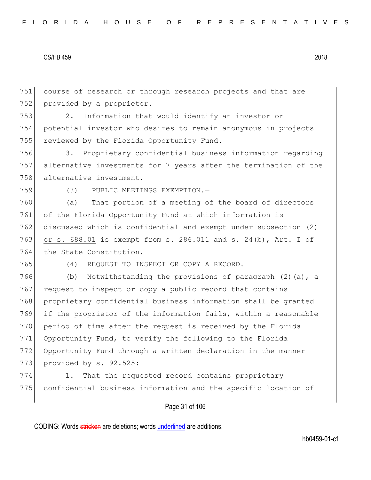751 course of research or through research projects and that are 752 provided by a proprietor.

753 2. Information that would identify an investor or 754 potential investor who desires to remain anonymous in projects 755 reviewed by the Florida Opportunity Fund.

756 3. Proprietary confidential business information regarding 757 alternative investments for 7 years after the termination of the 758 alternative investment.

759 (3) PUBLIC MEETINGS EXEMPTION.—

760 (a) That portion of a meeting of the board of directors 761 of the Florida Opportunity Fund at which information is 762 discussed which is confidential and exempt under subsection (2) 763 or s. 688.01 is exempt from s. 286.011 and s. 24(b), Art. I of 764 the State Constitution.

765 (4) REQUEST TO INSPECT OR COPY A RECORD.—

766 (b) Notwithstanding the provisions of paragraph (2)(a), a 767 request to inspect or copy a public record that contains 768 proprietary confidential business information shall be granted 769 if the proprietor of the information fails, within a reasonable 770 period of time after the request is received by the Florida 771 Opportunity Fund, to verify the following to the Florida 772 Opportunity Fund through a written declaration in the manner 773 provided by s. 92.525:

774 1. That the requested record contains proprietary 775 confidential business information and the specific location of

# Page 31 of 106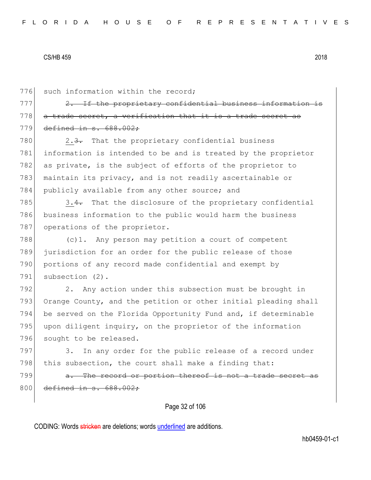776 such information within the record;

 $777$   $2.$  If the proprietary confidential business informat  $778$  a trade secret, a verification that it is a trade secret 779 defined in s. 688.002;

780 2.3. That the proprietary confidential business 781 information is intended to be and is treated by the proprietor 782 as private, is the subject of efforts of the proprietor to 783 maintain its privacy, and is not readily ascertainable or 784 publicly available from any other source; and

 $785$  3.4. That the disclosure of the proprietary confidential 786 business information to the public would harm the business 787 operations of the proprietor.

788 (c)1. Any person may petition a court of competent 789 jurisdiction for an order for the public release of those 790 portions of any record made confidential and exempt by 791 subsection (2).

792 2. Any action under this subsection must be brought in 793 Orange County, and the petition or other initial pleading shall 794 be served on the Florida Opportunity Fund and, if determinable 795 upon diligent inquiry, on the proprietor of the information 796 sought to be released.

797 3. In any order for the public release of a record under 798 this subsection, the court shall make a finding that:

799 a. The record or portion thereof is not a trade secret as 800 defined in s. 688.002:

Page 32 of 106

CODING: Words stricken are deletions; words underlined are additions.

hb0459-01-c1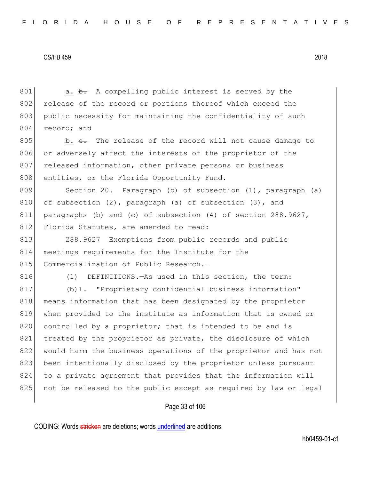801 a. b. A compelling public interest is served by the 802 release of the record or portions thereof which exceed the 803 public necessity for maintaining the confidentiality of such 804 record; and

 $805$  b.  $e$ . The release of the record will not cause damage to 806 or adversely affect the interests of the proprietor of the 807 released information, other private persons or business 808 entities, or the Florida Opportunity Fund.

809 Section 20. Paragraph (b) of subsection (1), paragraph (a) 810 of subsection  $(2)$ , paragraph  $(a)$  of subsection  $(3)$ , and 811 paragraphs (b) and (c) of subsection (4) of section 288.9627, 812 Florida Statutes, are amended to read:

813 288.9627 Exemptions from public records and public 814 meetings requirements for the Institute for the 815 Commercialization of Public Research.-

816 (1) DEFINITIONS.—As used in this section, the term:

817 (b)1. "Proprietary confidential business information" 818 means information that has been designated by the proprietor 819 when provided to the institute as information that is owned or 820 controlled by a proprietor; that is intended to be and is 821 treated by the proprietor as private, the disclosure of which 822 would harm the business operations of the proprietor and has not 823 been intentionally disclosed by the proprietor unless pursuant 824 to a private agreement that provides that the information will 825 | not be released to the public except as required by law or legal

## Page 33 of 106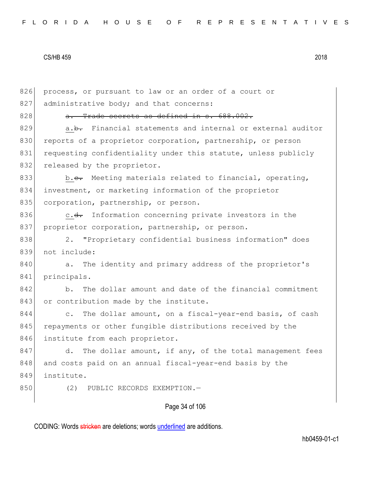| 826 | process, or pursuant to law or an order of a court or          |
|-----|----------------------------------------------------------------|
| 827 | administrative body; and that concerns:                        |
| 828 | a. Trade secrets as defined in s. 688.002.                     |
| 829 | a.b. Financial statements and internal or external auditor     |
| 830 | reports of a proprietor corporation, partnership, or person    |
| 831 | requesting confidentiality under this statute, unless publicly |
| 832 | released by the proprietor.                                    |
| 833 | b.e. Meeting materials related to financial, operating,        |
| 834 | investment, or marketing information of the proprietor         |
| 835 | corporation, partnership, or person.                           |
| 836 | c.d. Information concerning private investors in the           |
| 837 | proprietor corporation, partnership, or person.                |
| 838 | 2. "Proprietary confidential business information" does        |
| 839 | not include:                                                   |
| 840 | a. The identity and primary address of the proprietor's        |
| 841 | principals.                                                    |
| 842 | b. The dollar amount and date of the financial commitment      |
| 843 | or contribution made by the institute.                         |
| 844 | c. The dollar amount, on a fiscal-year-end basis, of cash      |
| 845 | repayments or other fungible distributions received by the     |
| 846 | institute from each proprietor.                                |
| 847 | d. The dollar amount, if any, of the total management fees     |
| 848 | and costs paid on an annual fiscal-year-end basis by the       |
| 849 | institute.                                                     |
| 850 | (2)<br>PUBLIC RECORDS EXEMPTION.-                              |
|     | Page 34 of 106                                                 |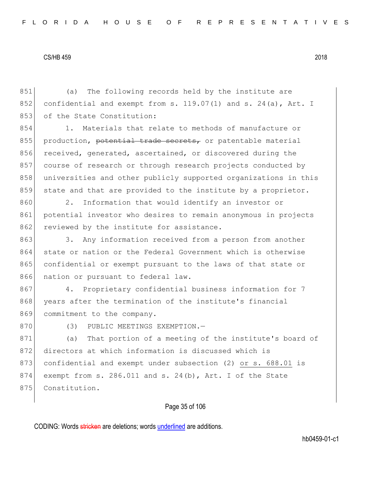851 (a) The following records held by the institute are 852 confidential and exempt from s. 119.07(1) and s. 24(a), Art. I 853 of the State Constitution:

854 1. Materials that relate to methods of manufacture or 855 production, potential trade secrets, or patentable material 856 received, generated, ascertained, or discovered during the 857 course of research or through research projects conducted by 858 universities and other publicly supported organizations in this 859 state and that are provided to the institute by a proprietor.

860 2. Information that would identify an investor or 861 potential investor who desires to remain anonymous in projects 862 reviewed by the institute for assistance.

863 3. Any information received from a person from another 864 state or nation or the Federal Government which is otherwise 865 confidential or exempt pursuant to the laws of that state or 866 nation or pursuant to federal law.

867 4. Proprietary confidential business information for 7 868 years after the termination of the institute's financial 869 commitment to the company.

870 (3) PUBLIC MEETINGS EXEMPTION.

871 (a) That portion of a meeting of the institute's board of 872 directors at which information is discussed which is 873 confidential and exempt under subsection (2) or s. 688.01 is 874 exempt from s. 286.011 and s. 24(b), Art. I of the State 875 Constitution.

# Page 35 of 106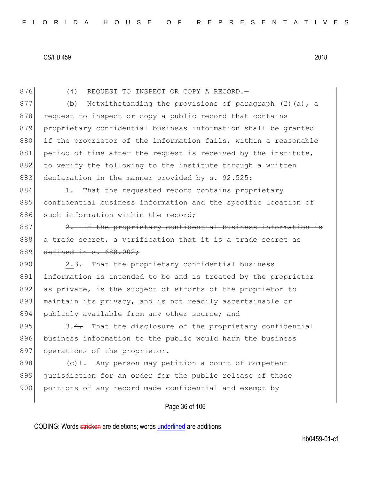876 (4) REQUEST TO INSPECT OR COPY A RECORD.

877 (b) Notwithstanding the provisions of paragraph (2)(a), a 878 request to inspect or copy a public record that contains 879 proprietary confidential business information shall be granted 880 if the proprietor of the information fails, within a reasonable 881 period of time after the request is received by the institute, 882 to verify the following to the institute through a written 883 declaration in the manner provided by s. 92.525:

884 1. That the requested record contains proprietary 885 confidential business information and the specific location of 886 such information within the record;

887 2. If the proprietary confidential business information is 888 a trade secret, a verification that it is a trade secret as 889 defined in s. 688.002:

890 2.3. That the proprietary confidential business 891 information is intended to be and is treated by the proprietor 892 as private, is the subject of efforts of the proprietor to 893 maintain its privacy, and is not readily ascertainable or 894 publicly available from any other source; and

 $895$  3.4. That the disclosure of the proprietary confidential 896 business information to the public would harm the business 897 operations of the proprietor.

898  $(c)$ 1. Any person may petition a court of competent 899 jurisdiction for an order for the public release of those 900 portions of any record made confidential and exempt by

# Page 36 of 106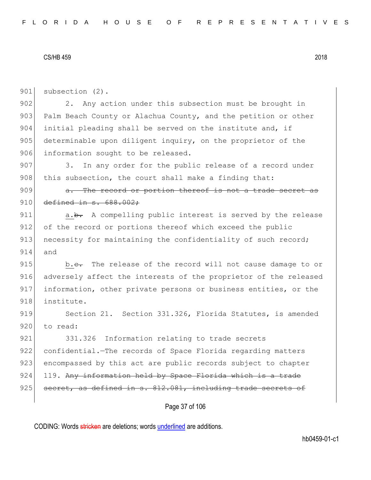901 subsection (2). 902 2. Any action under this subsection must be brought in 903 Palm Beach County or Alachua County, and the petition or other 904 initial pleading shall be served on the institute and, if 905 determinable upon diligent inquiry, on the proprietor of the 906 information sought to be released. 907 3. In any order for the public release of a record under 908 this subsection, the court shall make a finding that: 909 a. The record or portion thereof is not a trade secret as 910 defined in s. 688.002; 911 a.<del>b.</del> A compelling public interest is served by the release 912 of the record or portions thereof which exceed the public 913 necessity for maintaining the confidentiality of such record; 914 and 915 b.<del>c.</del> The release of the record will not cause damage to or 916 adversely affect the interests of the proprietor of the released 917 information, other private persons or business entities, or the 918 institute. 919 Section 21. Section 331.326, Florida Statutes, is amended 920 to read: 921 331.326 Information relating to trade secrets 922 confidential.—The records of Space Florida regarding matters 923 encompassed by this act are public records subject to chapter 924 119. Any information held by Space Florida which is a trade  $925$  secret, as defined in s.  $812.081$ , including trade secrets of

Page 37 of 106

CODING: Words stricken are deletions; words underlined are additions.

hb0459-01-c1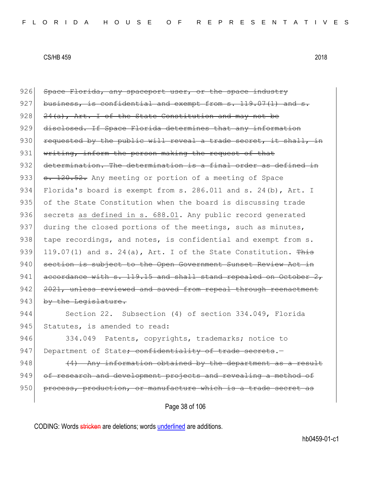Page 38 of 106 926 Space Florida, any spaceport user, or the space industry 927 business, is confidential and exempt from  $s. 119.07(1)$  and  $s.$  $928$   $24(a)$ , Art. I of the State Constitution and may not be 929 disclosed. If Space Florida determines that any information  $930$  requested by the public will reveal a trade secret, it shall, in 931 writing, inform the person making the request of that 932 determination. The determination is a final order as defined in 933 s. 120.52. Any meeting or portion of a meeting of Space 934 Florida's board is exempt from s. 286.011 and s. 24(b), Art. I 935 of the State Constitution when the board is discussing trade 936 secrets as defined in s. 688.01. Any public record generated 937 during the closed portions of the meetings, such as minutes, 938 tape recordings, and notes, is confidential and exempt from s. 939 119.07(1) and s. 24(a), Art. I of the State Constitution.  $\frac{m}{100}$ 940 section is subject to the Open Government Sunset Review Act in 941  $\vert$  accordance with s. 119.15 and shall stand repealed on October 2, 942 2021, unless reviewed and saved from repeal through reenactment 943 by the Legislature. 944 Section 22. Subsection (4) of section 334.049, Florida 945 Statutes, is amended to read: 946 334.049 Patents, copyrights, trademarks; notice to 947 Department of State<del>; confidentiality of trade secrets</del>.  $948$  (4) Any information obtained by the department as a result 949 of research and development projects and revealing a method of  $950$  process, production, or manufacture which is a trade secret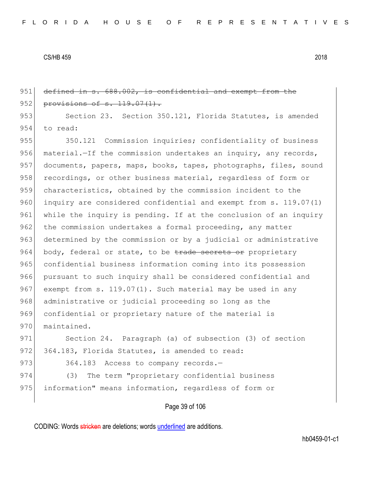Page 39 of 106 951 defined in s. 688.002, is confidential and exempt from the 952 provisions of s. 119.07(1). 953 Section 23. Section 350.121, Florida Statutes, is amended 954 to read: 955 350.121 Commission inquiries; confidentiality of business 956 material.—If the commission undertakes an inquiry, any records, 957 documents, papers, maps, books, tapes, photographs, files, sound 958 recordings, or other business material, regardless of form or 959 characteristics, obtained by the commission incident to the 960 inquiry are considered confidential and exempt from s. 119.07(1) 961 while the inquiry is pending. If at the conclusion of an inquiry 962 the commission undertakes a formal proceeding, any matter 963 determined by the commission or by a judicial or administrative 964 body, federal or state, to be trade secrets or proprietary 965 confidential business information coming into its possession 966 pursuant to such inquiry shall be considered confidential and 967 exempt from s. 119.07(1). Such material may be used in any 968 administrative or judicial proceeding so long as the 969 confidential or proprietary nature of the material is 970 maintained. 971 Section 24. Paragraph (a) of subsection (3) of section 972 364.183, Florida Statutes, is amended to read: 973 364.183 Access to company records. 974 (3) The term "proprietary confidential business 975 information" means information, regardless of form or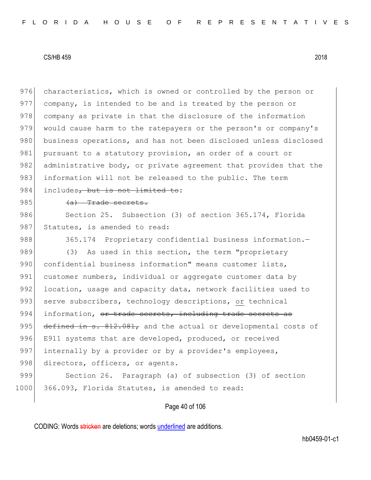976 characteristics, which is owned or controlled by the person or 977 company, is intended to be and is treated by the person or 978 company as private in that the disclosure of the information 979 would cause harm to the ratepayers or the person's or company's 980 business operations, and has not been disclosed unless disclosed 981 pursuant to a statutory provision, an order of a court or 982 administrative body, or private agreement that provides that the 983 information will not be released to the public. The term 984 includes, but is not limited to:

#### $985$  (a) Trade secrets.

986 Section 25. Subsection (3) of section 365.174, Florida 987 Statutes, is amended to read:

988 365.174 Proprietary confidential business information. 989 (3) As used in this section, the term "proprietary 990 confidential business information" means customer lists, 991 customer numbers, individual or aggregate customer data by 992 location, usage and capacity data, network facilities used to 993 serve subscribers, technology descriptions, or technical 994 information, or trade secrets, including trade secrets as 995  $\left| \right|$  defined in s. 812.081, and the actual or developmental costs of 996 E911 systems that are developed, produced, or received 997 internally by a provider or by a provider's employees, 998 directors, officers, or agents. 999 Section 26. Paragraph (a) of subsection (3) of section

# Page 40 of 106

CODING: Words stricken are deletions; words underlined are additions.

1000 366.093, Florida Statutes, is amended to read: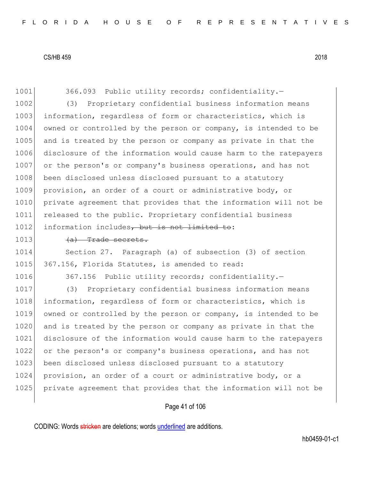1001 366.093 Public utility records; confidentiality. 1002 (3) Proprietary confidential business information means 1003 information, regardless of form or characteristics, which is 1004 owned or controlled by the person or company, is intended to be 1005 and is treated by the person or company as private in that the 1006 disclosure of the information would cause harm to the ratepayers 1007 or the person's or company's business operations, and has not 1008 been disclosed unless disclosed pursuant to a statutory 1009 provision, an order of a court or administrative body, or 1010 private agreement that provides that the information will not be 1011 released to the public. Proprietary confidential business 1012 information includes, but is not limited to:

#### $|1013|$   $\langle a \rangle$  Trade secrets.

1014 Section 27. Paragraph (a) of subsection (3) of section 1015 367.156, Florida Statutes, is amended to read:

1016 367.156 Public utility records; confidentiality.

1017 (3) Proprietary confidential business information means 1018 information, regardless of form or characteristics, which is 1019 owned or controlled by the person or company, is intended to be 1020 and is treated by the person or company as private in that the 1021 disclosure of the information would cause harm to the ratepayers 1022 or the person's or company's business operations, and has not 1023 been disclosed unless disclosed pursuant to a statutory 1024 provision, an order of a court or administrative body, or a 1025 private agreement that provides that the information will not be

# Page 41 of 106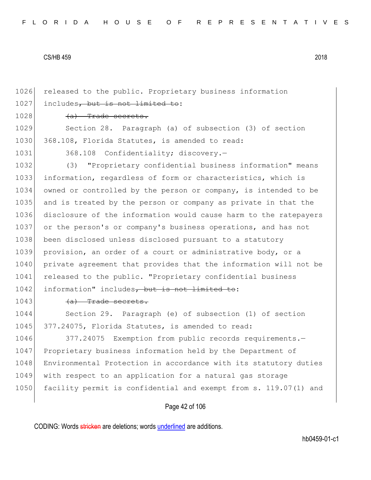1026 released to the public. Proprietary business information 1027 includes, but is not limited to:

1028 (a) Trade secrets.

1029 Section 28. Paragraph (a) of subsection (3) of section 1030 368.108, Florida Statutes, is amended to read:

1031 368.108 Confidentiality; discovery.-

1032 (3) "Proprietary confidential business information" means 1033 information, regardless of form or characteristics, which is 1034 owned or controlled by the person or company, is intended to be 1035 and is treated by the person or company as private in that the 1036 disclosure of the information would cause harm to the ratepayers 1037 or the person's or company's business operations, and has not 1038 been disclosed unless disclosed pursuant to a statutory 1039 provision, an order of a court or administrative body, or a 1040 private agreement that provides that the information will not be 1041 released to the public. "Proprietary confidential business 1042 information" includes, but is not limited to:

 $1043$  (a) Trade secrets.

1044 Section 29. Paragraph (e) of subsection (1) of section 1045 377.24075, Florida Statutes, is amended to read:

1046 377.24075 Exemption from public records requirements.-1047 Proprietary business information held by the Department of 1048 Environmental Protection in accordance with its statutory duties 1049 with respect to an application for a natural gas storage 1050 facility permit is confidential and exempt from s. 119.07(1) and

Page 42 of 106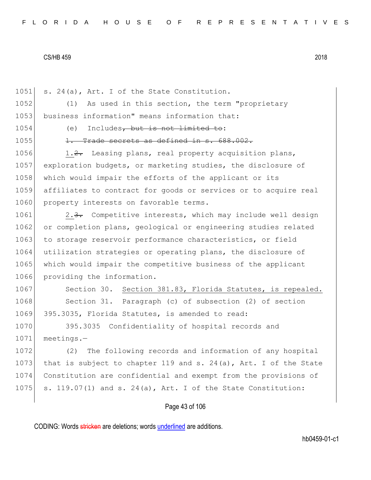Page 43 of 106 1051 s. 24(a), Art. I of the State Constitution. 1052 (1) As used in this section, the term "proprietary 1053 business information" means information that: 1054 (e) Includes, but is not limited to:  $1055$  1. Trade secrets as defined in s.  $688.002$ . 1056 1.2. Leasing plans, real property acquisition plans, 1057 exploration budgets, or marketing studies, the disclosure of 1058 which would impair the efforts of the applicant or its 1059 affiliates to contract for goods or services or to acquire real 1060 property interests on favorable terms. 1061 2.3. Competitive interests, which may include well design 1062 or completion plans, geological or engineering studies related 1063 to storage reservoir performance characteristics, or field 1064 utilization strategies or operating plans, the disclosure of 1065 which would impair the competitive business of the applicant 1066 providing the information. 1067 Section 30. Section 381.83, Florida Statutes, is repealed. 1068 Section 31. Paragraph (c) of subsection (2) of section 1069 395.3035, Florida Statutes, is amended to read: 1070 395.3035 Confidentiality of hospital records and 1071 meetings.— 1072 (2) The following records and information of any hospital 1073 that is subject to chapter 119 and s. 24(a), Art. I of the State 1074 Constitution are confidential and exempt from the provisions of 1075 s. 119.07(1) and s. 24(a), Art. I of the State Constitution: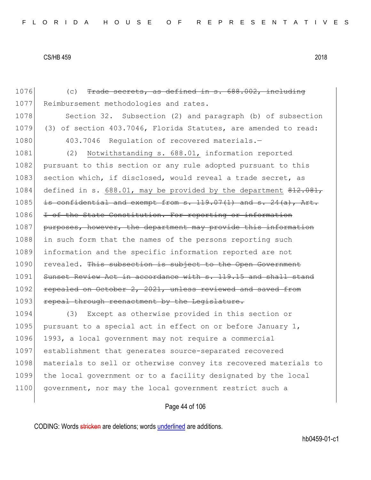1076 (c) Trade secrets, as defined in s. 688.002, including 1077 Reimbursement methodologies and rates. 1078 Section 32. Subsection (2) and paragraph (b) of subsection 1079 (3) of section 403.7046, Florida Statutes, are amended to read: 1080 403.7046 Regulation of recovered materials. 1081 (2) Notwithstanding s. 688.01, information reported 1082 pursuant to this section or any rule adopted pursuant to this 1083 section which, if disclosed, would reveal a trade secret, as 1084 defined in s. 688.01, may be provided by the department  $22.081$ ,  $1085$  is confidential and exempt from s. 119.07(1) and s. 24(a), Art. 1086 I of the State Constitution. For reporting or information 1087 purposes, however, the department may provide this information 1088 in such form that the names of the persons reporting such 1089 information and the specific information reported are not 1090 revealed. This subsection is subject to the Open Government 1091 Sunset Review Act in accordance with s. 119.15 and shall stand 1092 repealed on October 2, 2021, unless reviewed and saved from 1093 repeal through reenactment by the Legislature. 1094 (3) Except as otherwise provided in this section or 1095 pursuant to a special act in effect on or before January 1, 1096 1993, a local government may not require a commercial 1097 establishment that generates source-separated recovered

1098 materials to sell or otherwise convey its recovered materials to 1099 the local government or to a facility designated by the local 1100 government, nor may the local government restrict such a

# Page 44 of 106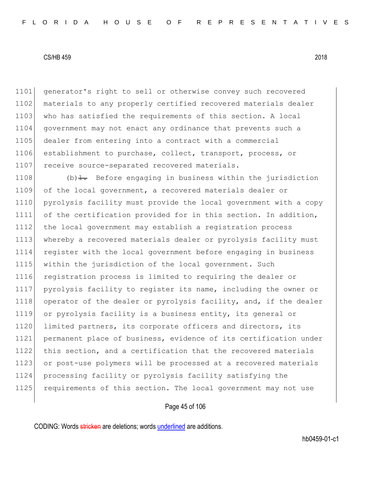1101 generator's right to sell or otherwise convey such recovered 1102 materials to any properly certified recovered materials dealer 1103 who has satisfied the requirements of this section. A local 1104 government may not enact any ordinance that prevents such a 1105 dealer from entering into a contract with a commercial 1106 establishment to purchase, collect, transport, process, or 1107 receive source-separated recovered materials.

1108 (b) $\pm$ . Before engaging in business within the jurisdiction of the local government, a recovered materials dealer or pyrolysis facility must provide the local government with a copy of the certification provided for in this section. In addition, 1112 the local government may establish a registration process 1113 whereby a recovered materials dealer or pyrolysis facility must register with the local government before engaging in business within the jurisdiction of the local government. Such registration process is limited to requiring the dealer or pyrolysis facility to register its name, including the owner or 1118 operator of the dealer or pyrolysis facility, and, if the dealer or pyrolysis facility is a business entity, its general or 1120 limited partners, its corporate officers and directors, its permanent place of business, evidence of its certification under this section, and a certification that the recovered materials 1123 or post-use polymers will be processed at a recovered materials processing facility or pyrolysis facility satisfying the 1125 requirements of this section. The local government may not use

# Page 45 of 106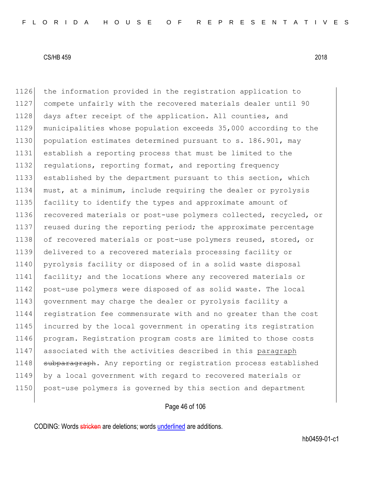the information provided in the registration application to compete unfairly with the recovered materials dealer until 90 1128 days after receipt of the application. All counties, and municipalities whose population exceeds 35,000 according to the 1130 population estimates determined pursuant to s. 186.901, may establish a reporting process that must be limited to the 1132 regulations, reporting format, and reporting frequency established by the department pursuant to this section, which must, at a minimum, include requiring the dealer or pyrolysis facility to identify the types and approximate amount of recovered materials or post-use polymers collected, recycled, or 1137 reused during the reporting period; the approximate percentage 1138 of recovered materials or post-use polymers reused, stored, or delivered to a recovered materials processing facility or 1140 pyrolysis facility or disposed of in a solid waste disposal facility; and the locations where any recovered materials or post-use polymers were disposed of as solid waste. The local 1143 government may charge the dealer or pyrolysis facility a registration fee commensurate with and no greater than the cost incurred by the local government in operating its registration program. Registration program costs are limited to those costs associated with the activities described in this paragraph 1148 subparagraph. Any reporting or registration process established by a local government with regard to recovered materials or post-use polymers is governed by this section and department

# Page 46 of 106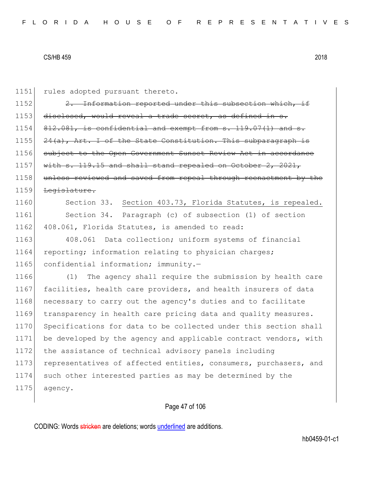| 1151 | rules adopted pursuant thereto.                                  |
|------|------------------------------------------------------------------|
| 1152 | 2. Information reported under this subsection which, if          |
| 1153 | disclosed, would reveal a trade secret, as defined in s.         |
| 1154 | $812.081$ , is confidential and exempt from s. 119.07(1) and s.  |
| 1155 | $24(a)$ , Art. I of the State Constitution. This subparagraph is |
| 1156 | subject to the Open Government Sunset Review Act in accordance   |
| 1157 | with $s. 119.15$ and shall stand repealed on October 2, 2021,    |
| 1158 | unless reviewed and saved from repeal through reenactment by the |
| 1159 | Legislature.                                                     |
| 1160 | Section 33. Section 403.73, Florida Statutes, is repealed.       |
| 1161 | Section 34. Paragraph (c) of subsection (1) of section           |
| 1162 | 408.061, Florida Statutes, is amended to read:                   |
| 1163 | 408.061 Data collection; uniform systems of financial            |
| 1164 | reporting; information relating to physician charges;            |
| 1165 | confidential information; immunity.-                             |
| 1166 | The agency shall require the submission by health care<br>(1)    |
| 1167 | facilities, health care providers, and health insurers of data   |
| 1168 | necessary to carry out the agency's duties and to facilitate     |
| 1169 | transparency in health care pricing data and quality measures.   |
| 1170 | Specifications for data to be collected under this section shall |
| 1171 | be developed by the agency and applicable contract vendors, with |
| 1172 | the assistance of technical advisory panels including            |
| 1173 | representatives of affected entities, consumers, purchasers, and |
| 1174 | such other interested parties as may be determined by the        |
| 1175 | agency.                                                          |
|      |                                                                  |

# Page 47 of 106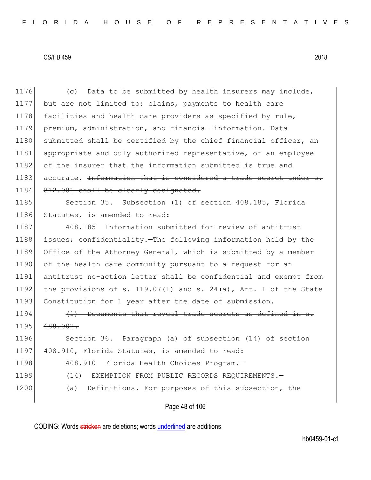1176 (c) Data to be submitted by health insurers may include, 1177 but are not limited to: claims, payments to health care 1178 facilities and health care providers as specified by rule, 1179 premium, administration, and financial information. Data 1180 submitted shall be certified by the chief financial officer, an 1181 appropriate and duly authorized representative, or an employee 1182 of the insurer that the information submitted is true and  $1183$  accurate. Information that is considered a trade secret under 1184 812.081 shall be clearly designated. 1185 Section 35. Subsection (1) of section 408.185, Florida 1186 Statutes, is amended to read: 1187 408.185 Information submitted for review of antitrust 1188 issues; confidentiality.—The following information held by the 1189 Office of the Attorney General, which is submitted by a member 1190 of the health care community pursuant to a request for an 1191 antitrust no-action letter shall be confidential and exempt from 1192 the provisions of s. 119.07(1) and s. 24(a), Art. I of the State 1193 Constitution for 1 year after the date of submission.  $1194$  (1) Documents that reveal trade secrets as defined in s. 1195 688.002. 1196 Section 36. Paragraph (a) of subsection (14) of section 1197 408.910, Florida Statutes, is amended to read:

- 1198 408.910 Florida Health Choices Program.
- 1199 (14) EXEMPTION FROM PUBLIC RECORDS REQUIREMENTS.

Page 48 of 106

1200 (a) Definitions. - For purposes of this subsection, the

CODING: Words stricken are deletions; words underlined are additions.

hb0459-01-c1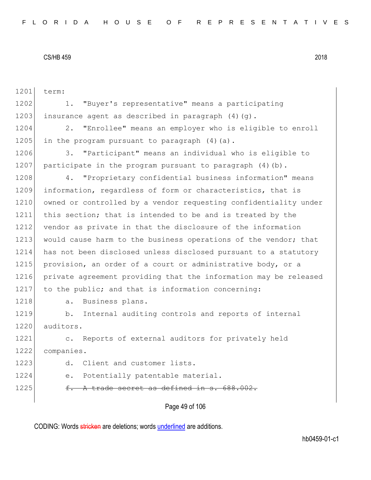Page 49 of 106 1201 term: 1202 1. "Buyer's representative" means a participating 1203 insurance agent as described in paragraph  $(4)(q)$ . 1204 2. "Enrollee" means an employer who is eligible to enroll 1205 in the program pursuant to paragraph  $(4)$  (a). 1206 3. "Participant" means an individual who is eligible to 1207 participate in the program pursuant to paragraph  $(4)(b)$ . 1208 4. "Proprietary confidential business information" means 1209 information, regardless of form or characteristics, that is 1210 owned or controlled by a vendor requesting confidentiality under 1211 this section; that is intended to be and is treated by the 1212 vendor as private in that the disclosure of the information 1213 would cause harm to the business operations of the vendor; that 1214 has not been disclosed unless disclosed pursuant to a statutory 1215 provision, an order of a court or administrative body, or a 1216 private agreement providing that the information may be released 1217 to the public; and that is information concerning: 1218 a. Business plans. 1219 b. Internal auditing controls and reports of internal 1220 auditors. 1221 c. Reports of external auditors for privately held 1222 companies. 1223 d. Client and customer lists. 1224 e. Potentially patentable material. 1225  $f.$  A trade secret as defined in s.  $688.002$ .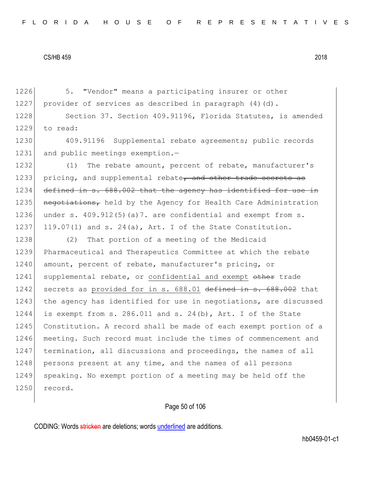1226 5. "Vendor" means a participating insurer or other 1227 provider of services as described in paragraph  $(4)(d)$ . 1228 Section 37. Section 409.91196, Florida Statutes, is amended 1229 to read:

1230 409.91196 Supplemental rebate agreements; public records 1231 and public meetings exemption.-

1232 (1) The rebate amount, percent of rebate, manufacturer's 1233 pricing, and supplemental rebate, and other trade secrets as 1234 defined in s. 688.002 that the agency has identified for use in 1235 negotiations, held by the Agency for Health Care Administration 1236 under s. 409.912(5)(a)7. are confidential and exempt from s. 1237 119.07(1) and s. 24(a), Art. I of the State Constitution.

1238 (2) That portion of a meeting of the Medicaid 1239 Pharmaceutical and Therapeutics Committee at which the rebate 1240 amount, percent of rebate, manufacturer's pricing, or 1241 supplemental rebate, or confidential and exempt other trade 1242 secrets as provided for in s. 688.01 defined in s. 688.002 that 1243 the agency has identified for use in negotiations, are discussed 1244 is exempt from s. 286.011 and s. 24(b), Art. I of the State 1245 Constitution. A record shall be made of each exempt portion of a 1246 meeting. Such record must include the times of commencement and 1247 termination, all discussions and proceedings, the names of all 1248 persons present at any time, and the names of all persons 1249 speaking. No exempt portion of a meeting may be held off the 1250 record.

# Page 50 of 106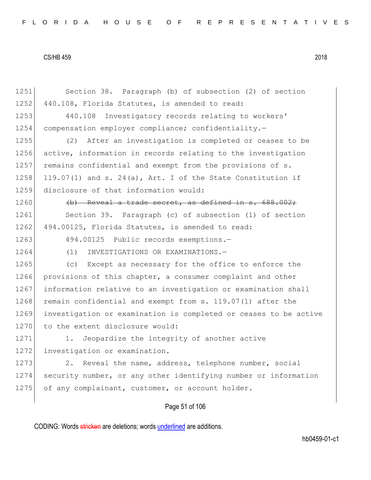| 1251 | Section 38. Paragraph (b) of subsection (2) of section           |
|------|------------------------------------------------------------------|
| 1252 | 440.108, Florida Statutes, is amended to read:                   |
| 1253 | Investigatory records relating to workers'<br>440.108            |
| 1254 | compensation employer compliance; confidentiality.-              |
| 1255 | After an investigation is completed or ceases to be<br>(2)       |
| 1256 | active, information in records relating to the investigation     |
| 1257 | remains confidential and exempt from the provisions of s.        |
| 1258 | 119.07(1) and s. 24(a), Art. I of the State Constitution if      |
| 1259 | disclosure of that information would:                            |
| 1260 | (b) Reveal a trade secret, as defined in s. 688.002;             |
| 1261 | Section 39. Paragraph (c) of subsection (1) of section           |
| 1262 | 494.00125, Florida Statutes, is amended to read:                 |
| 1263 | 494.00125 Public records exemptions.-                            |
| 1264 | (1)<br>INVESTIGATIONS OR EXAMINATIONS.-                          |
| 1265 | (c) Except as necessary for the office to enforce the            |
| 1266 | provisions of this chapter, a consumer complaint and other       |
| 1267 | information relative to an investigation or examination shall    |
| 1268 | remain confidential and exempt from s. 119.07(1) after the       |
| 1269 | investigation or examination is completed or ceases to be active |
| 1270 | to the extent disclosure would:                                  |
| 1271 | Jeopardize the integrity of another active<br>1.                 |
| 1272 | investigation or examination.                                    |
| 1273 | 2. Reveal the name, address, telephone number, social            |
| 1274 | security number, or any other identifying number or information  |
| 1275 | of any complainant, customer, or account holder.                 |
|      | Page 51 of 106                                                   |
|      |                                                                  |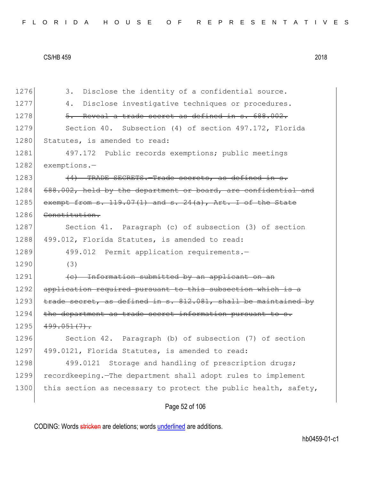|  |  |  |  |  |  |  |  | FLORIDA HOUSE OF REPRESENTATIVES |  |  |  |  |  |  |  |  |  |  |  |  |  |  |  |  |  |  |  |  |  |  |  |  |  |
|--|--|--|--|--|--|--|--|----------------------------------|--|--|--|--|--|--|--|--|--|--|--|--|--|--|--|--|--|--|--|--|--|--|--|--|--|
|--|--|--|--|--|--|--|--|----------------------------------|--|--|--|--|--|--|--|--|--|--|--|--|--|--|--|--|--|--|--|--|--|--|--|--|--|

| 1276 | Disclose the identity of a confidential source.<br>3.           |
|------|-----------------------------------------------------------------|
| 1277 | Disclose investigative techniques or procedures.<br>4.          |
| 1278 | 5. Reveal a trade secret as defined in s. 688.002.              |
| 1279 | Section 40. Subsection (4) of section 497.172, Florida          |
| 1280 | Statutes, is amended to read:                                   |
| 1281 | 497.172 Public records exemptions; public meetings              |
| 1282 | exemptions.-                                                    |
| 1283 | (4) TRADE SECRETS. Trade secrets, as defined in s.              |
| 1284 | 688.002, held by the department or board, are confidential and  |
| 1285 | exempt from $s. 119.07(1)$ and $s. 24(a)$ , Art. I of the State |
| 1286 | Constitution.                                                   |
| 1287 | Section 41. Paragraph (c) of subsection (3) of section          |
| 1288 | 499.012, Florida Statutes, is amended to read:                  |
| 1289 | 499.012 Permit application requirements.-                       |
| 1290 | (3)                                                             |
| 1291 | (c) Information submitted by an applicant on an                 |
| 1292 | application required pursuant to this subsection which is a     |
| 1293 | trade secret, as defined in s. 812.081, shall be maintained by  |
| 1294 | the department as trade secret information pursuant to s.       |
| 1295 | $499.051(7)$ .                                                  |
| 1296 | Section 42. Paragraph (b) of subsection (7) of section          |
| 1297 | 499.0121, Florida Statutes, is amended to read:                 |
| 1298 | 499.0121<br>Storage and handling of prescription drugs;         |
| 1299 | recordkeeping. The department shall adopt rules to implement    |
| 1300 | this section as necessary to protect the public health, safety, |
|      | Page 52 of 106                                                  |

CODING: Words stricken are deletions; words underlined are additions.

hb0459-01-c1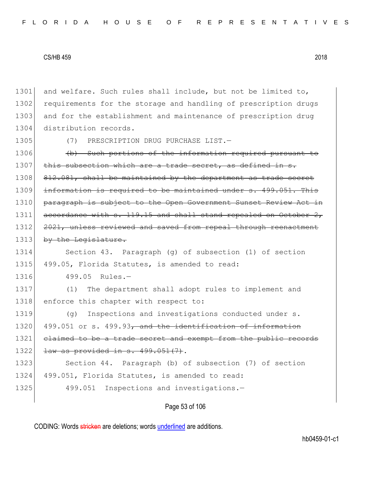1301 and welfare. Such rules shall include, but not be limited to, 1302 requirements for the storage and handling of prescription drugs 1303 and for the establishment and maintenance of prescription drug 1304 distribution records. 1305 (7) PRESCRIPTION DRUG PURCHASE LIST.

1306 (b) Such portions of the information required pursuant to 1307 this subsection which are a trade secret, as defined in s. 1308 812.081, shall be maintained by the department as trade secret 1309 information is required to be maintained under s. 499.051. This 1310 paragraph is subject to the Open Government Sunset Review Act in 1311 accordance with s. 119.15 and shall stand repealed on October 2, 1312 2021, unless reviewed and saved from repeal through reenactment 1313 by the Legislature.

1314 Section 43. Paragraph (g) of subsection (1) of section 1315 499.05, Florida Statutes, is amended to read:

1316 499.05 Rules.-

1317 (1) The department shall adopt rules to implement and 1318 enforce this chapter with respect to:

1319 (g) Inspections and investigations conducted under s. 1320 499.051 or s. 499.93, and the identification of information 1321 claimed to be a trade secret and exempt from the public records 1322 <del>law as provided in s. 499.051(7)</del>.

1323 Section 44. Paragraph (b) of subsection (7) of section 1324 499.051, Florida Statutes, is amended to read:

1325 499.051 Inspections and investigations.

Page 53 of 106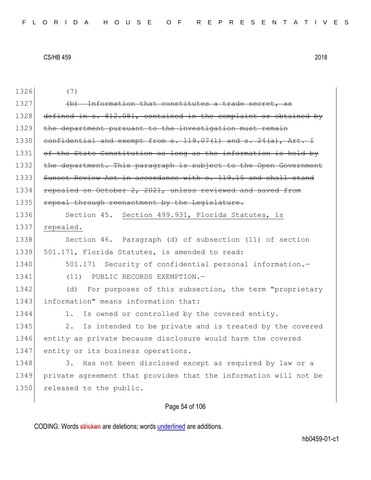1326 (7) 1327  $\left(\mathrm{b}\right)$  Information that constitutes a trade 1328 defined in s. 812.081, contained in the complaint or obtained by 1329 the department pursuant to the investigation must remain  $1330$  confidential and exempt from s.  $119.07(1)$  and s.  $24(a)$ , Art. 1331 of the State Constitution as long as the information is held by 1332 the department. This paragraph is subject to the Open Government 1333 Sunset Review Act in accordance with s. 119.15 and shall stand 1334 repealed on October 2, 2021, unless reviewed and saved from 1335 repeal through reenactment by the Legislature. 1336 Section 45. Section 499.931, Florida Statutes, is 1337 repealed. 1338 Section 46. Paragraph (d) of subsection (11) of section 1339 501.171, Florida Statutes, is amended to read: 1340 501.171 Security of confidential personal information.-1341 (11) PUBLIC RECORDS EXEMPTION.-1342 (d) For purposes of this subsection, the term "proprietary 1343 information" means information that: 1344 1. Is owned or controlled by the covered entity. 1345 2. Is intended to be private and is treated by the covered 1346 entity as private because disclosure would harm the covered 1347 entity or its business operations. 1348 3. Has not been disclosed except as required by law or a 1349 private agreement that provides that the information will not be 1350 released to the public.

# Page 54 of 106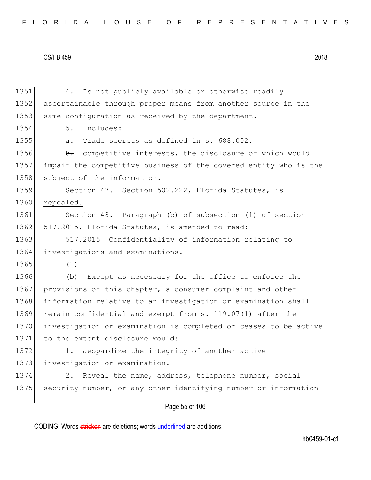| FLORIDA HOUSE OF REPRESENTATIVES |  |
|----------------------------------|--|
|----------------------------------|--|

1351 4. Is not publicly available or otherwise readily 1352 ascertainable through proper means from another source in the 1353 same configuration as received by the department.  $1354$  5. Includes: 1355  $\theta$ . Trade secrets as defined in s. 688.002. 1356 b. competitive interests, the disclosure of which would 1357 impair the competitive business of the covered entity who is the 1358 subject of the information. 1359 Section 47. Section 502.222, Florida Statutes, is 1360 repealed. 1361 Section 48. Paragraph (b) of subsection (1) of section 1362 517.2015, Florida Statutes, is amended to read: 1363 517.2015 Confidentiality of information relating to 1364 investigations and examinations.-1365 (1) 1366 (b) Except as necessary for the office to enforce the 1367 provisions of this chapter, a consumer complaint and other 1368 information relative to an investigation or examination shall 1369 remain confidential and exempt from s. 119.07(1) after the 1370 investigation or examination is completed or ceases to be active 1371 to the extent disclosure would: 1372 1. Jeopardize the integrity of another active 1373 investigation or examination. 1374 2. Reveal the name, address, telephone number, social 1375 security number, or any other identifying number or information

# Page 55 of 106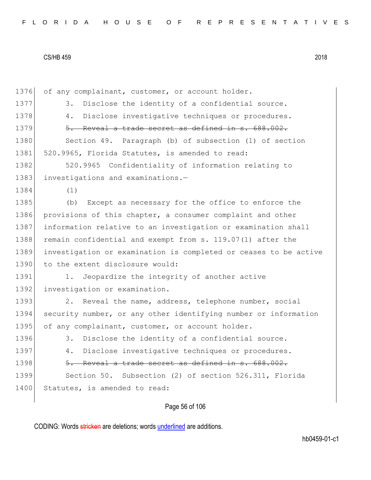1376 of any complainant, customer, or account holder. 1377 3. Disclose the identity of a confidential source. 1378 4. Disclose investigative techniques or procedures.  $1379$   $5.$  Reveal a trade secret as defined in s. 688.002. 1380 Section 49. Paragraph (b) of subsection (1) of section 1381 520.9965, Florida Statutes, is amended to read: 1382 520.9965 Confidentiality of information relating to 1383 investigations and examinations.-1384 (1) 1385 (b) Except as necessary for the office to enforce the 1386 provisions of this chapter, a consumer complaint and other 1387 information relative to an investigation or examination shall 1388 remain confidential and exempt from s. 119.07(1) after the 1389 investigation or examination is completed or ceases to be active 1390 to the extent disclosure would: 1391 1. Jeopardize the integrity of another active 1392 investigation or examination. 1393 2. Reveal the name, address, telephone number, social 1394 security number, or any other identifying number or information 1395 of any complainant, customer, or account holder. 1396 3. Disclose the identity of a confidential source. 1397 4. Disclose investigative techniques or procedures. 1398 5. Reveal a trade secret as defined in s. 688.002. 1399 Section 50. Subsection (2) of section 526.311, Florida 1400 Statutes, is amended to read:

# Page 56 of 106

CODING: Words stricken are deletions; words underlined are additions.

hb0459-01-c1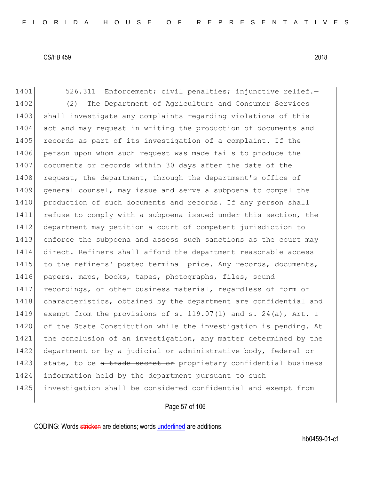1401 526.311 Enforcement; civil penalties; injunctive relief. 1402 (2) The Department of Agriculture and Consumer Services 1403 shall investigate any complaints regarding violations of this 1404 act and may request in writing the production of documents and 1405 records as part of its investigation of a complaint. If the 1406 person upon whom such request was made fails to produce the 1407 documents or records within 30 days after the date of the 1408 request, the department, through the department's office of 1409 general counsel, may issue and serve a subpoena to compel the 1410 production of such documents and records. If any person shall 1411 refuse to comply with a subpoena issued under this section, the 1412 department may petition a court of competent jurisdiction to 1413 enforce the subpoena and assess such sanctions as the court may 1414 direct. Refiners shall afford the department reasonable access 1415 to the refiners' posted terminal price. Any records, documents, 1416 papers, maps, books, tapes, photographs, files, sound 1417 recordings, or other business material, regardless of form or 1418 characteristics, obtained by the department are confidential and 1419 exempt from the provisions of s. 119.07(1) and s. 24(a), Art. I 1420 of the State Constitution while the investigation is pending. At 1421 the conclusion of an investigation, any matter determined by the 1422 department or by a judicial or administrative body, federal or 1423 state, to be a trade secret or proprietary confidential business 1424 information held by the department pursuant to such 1425 investigation shall be considered confidential and exempt from

# Page 57 of 106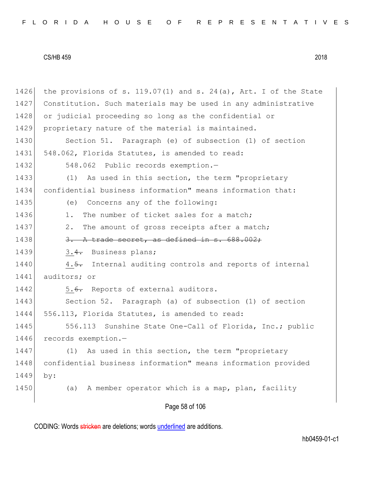Page 58 of 106 1426 the provisions of s. 119.07(1) and s. 24(a), Art. I of the State 1427 Constitution. Such materials may be used in any administrative 1428 or judicial proceeding so long as the confidential or 1429 proprietary nature of the material is maintained. 1430 Section 51. Paragraph (e) of subsection (1) of section 1431 548.062, Florida Statutes, is amended to read: 1432 548.062 Public records exemption.-1433 (1) As used in this section, the term "proprietary 1434 confidential business information" means information that: 1435 (e) Concerns any of the following: 1436 1. The number of ticket sales for a match; 1437 2. The amount of gross receipts after a match; 1438  $\overline{3. A \cdot A}$  trade secret, as defined in s.  $688.002$ ; 1439 3.4. Business plans; 1440 4.5. Internal auditing controls and reports of internal 1441 auditors; or 1442 5.6. Reports of external auditors. 1443 Section 52. Paragraph (a) of subsection (1) of section 1444 556.113, Florida Statutes, is amended to read: 1445 556.113 Sunshine State One-Call of Florida, Inc.; public 1446 records exemption.-1447 (1) As used in this section, the term "proprietary 1448 confidential business information" means information provided 1449 by: 1450 (a) A member operator which is a map, plan, facility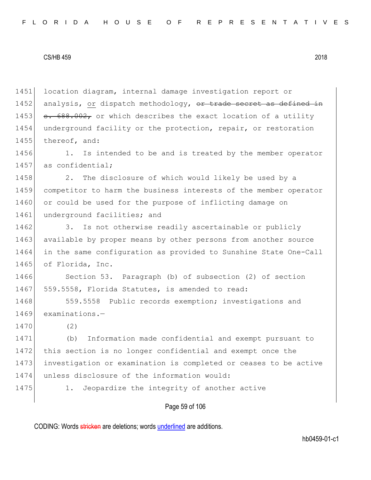1451 location diagram, internal damage investigation report or 1452 analysis, or dispatch methodology,  $\sigma$ r trade secret as defined in 1453  $\sigma$ . 688.002, or which describes the exact location of a utility 1454 underground facility or the protection, repair, or restoration 1455 thereof, and:

1456 1. Is intended to be and is treated by the member operator 1457 as confidential;

1458 2. The disclosure of which would likely be used by a 1459 competitor to harm the business interests of the member operator 1460 or could be used for the purpose of inflicting damage on 1461 underground facilities; and

1462 3. Is not otherwise readily ascertainable or publicly 1463 available by proper means by other persons from another source 1464 in the same configuration as provided to Sunshine State One-Call 1465 of Florida, Inc.

1466 Section 53. Paragraph (b) of subsection (2) of section 1467 559.5558, Florida Statutes, is amended to read:

1468 559.5558 Public records exemption; investigations and 1469 examinations.-

1470 (2)

 (b) Information made confidential and exempt pursuant to 1472 this section is no longer confidential and exempt once the investigation or examination is completed or ceases to be active unless disclosure of the information would:

1475 1. Jeopardize the integrity of another active

# Page 59 of 106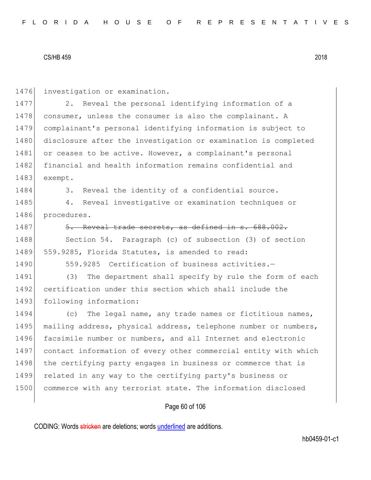1476 investigation or examination.

1477 2. Reveal the personal identifying information of a 1478 consumer, unless the consumer is also the complainant. A 1479 complainant's personal identifying information is subject to 1480 disclosure after the investigation or examination is completed 1481 or ceases to be active. However, a complainant's personal 1482 financial and health information remains confidential and 1483 exempt.

1484 3. Reveal the identity of a confidential source.

1485 4. Reveal investigative or examination techniques or 1486 procedures.

1487 5. Reveal trade secrets, as defined in s. 688.002.

1488 Section 54. Paragraph (c) of subsection (3) of section 1489 559.9285, Florida Statutes, is amended to read:

1490 559.9285 Certification of business activities.

1491 (3) The department shall specify by rule the form of each 1492 certification under this section which shall include the 1493 following information:

1494 (c) The legal name, any trade names or fictitious names, 1495 mailing address, physical address, telephone number or numbers, 1496 facsimile number or numbers, and all Internet and electronic 1497 contact information of every other commercial entity with which 1498 the certifying party engages in business or commerce that is 1499 related in any way to the certifying party's business or 1500 commerce with any terrorist state. The information disclosed

# Page 60 of 106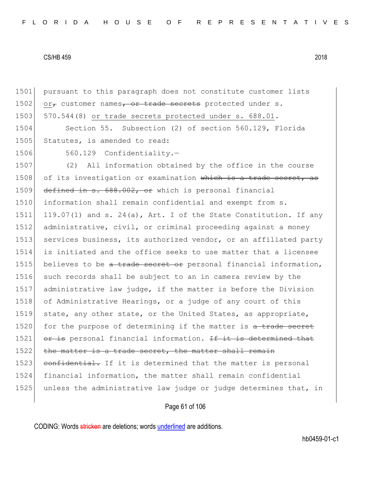1501 pursuant to this paragraph does not constitute customer lists 1502 or $\tau$  customer names, or trade secrets protected under s. 1503 570.544(8) or trade secrets protected under s. 688.01. 1504 Section 55. Subsection (2) of section 560.129, Florida 1505 Statutes, is amended to read: 1506 560.129 Confidentiality.-1507 (2) All information obtained by the office in the course 1508 of its investigation or examination which is a trade secret, as 1509 defined in s. 688.002, or which is personal financial 1510 information shall remain confidential and exempt from s.

1511 119.07(1) and s. 24(a), Art. I of the State Constitution. If any 1512 administrative, civil, or criminal proceeding against a money 1513 services business, its authorized vendor, or an affiliated party 1514 is initiated and the office seeks to use matter that a licensee 1515 believes to be a trade secret or personal financial information, 1516 such records shall be subject to an in camera review by the 1517 administrative law judge, if the matter is before the Division 1518 of Administrative Hearings, or a judge of any court of this 1519 state, any other state, or the United States, as appropriate, 1520 for the purpose of determining if the matter is a trade secret 1521  $\sigma$  and  $\sigma$  is personal financial information. If it is determined that 1522 the matter is a trade secret, the matter shall remain 1523 confidential. If it is determined that the matter is personal 1524 financial information, the matter shall remain confidential 1525 unless the administrative law judge or judge determines that, in

# Page 61 of 106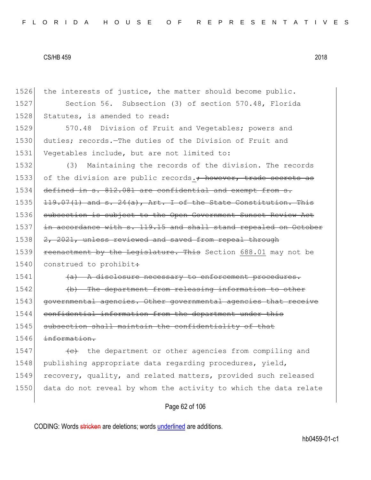1526 the interests of justice, the matter should become public. 1527 Section 56. Subsection (3) of section 570.48, Florida 1528 Statutes, is amended to read: 1529 570.48 Division of Fruit and Vegetables; powers and 1530 duties; records.—The duties of the Division of Fruit and 1531 Vegetables include, but are not limited to: 1532 (3) Maintaining the records of the division. The records 1533 of the division are public records.; however, trade secrets as 1534 defined in s. 812.081 are confidential and exempt from s.  $1535$  119.07(1) and s. 24(a), Art. I of the State Constitution. This 1536 subsection is subject to the Open Government Sunset Review Act 1537 in accordance with s. 119.15 and shall stand repealed on October 1538 2, 2021, unless reviewed and saved from repeal through 1539 reenactment by the Legislature. This Section 688.01 may not be 1540 construed to prohibit:  $1541$  (a) A disclosure necessary to enforcement procedures. 1542 (b) The department from releasing information to other 1543 governmental agencies. Other governmental agencies that receive 1544 confidential information from the department under this 1545 subsection shall maintain the confidentiality of that 1546 information. 1547  $\leftarrow$  the department or other agencies from compiling and 1548 publishing appropriate data regarding procedures, yield, 1549 recovery, quality, and related matters, provided such released 1550 data do not reveal by whom the activity to which the data relate

# Page 62 of 106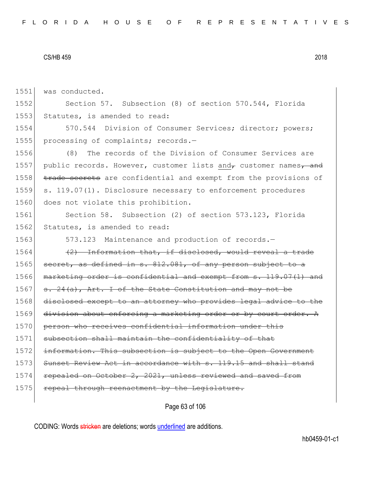1551 was conducted.

1552 Section 57. Subsection (8) of section 570.544, Florida 1553 Statutes, is amended to read:

1554 570.544 Division of Consumer Services; director; powers; 1555 processing of complaints; records.-

1556 (8) The records of the Division of Consumer Services are 1557 public records. However, customer lists and customer names, and 1558 trade secrets are confidential and exempt from the provisions of 1559 s. 119.07(1). Disclosure necessary to enforcement procedures 1560 does not violate this prohibition.

1561 Section 58. Subsection (2) of section 573.123, Florida 1562 Statutes, is amended to read:

1563 573.123 Maintenance and production of records.

 $1564$  (2) Information that, if disclosed, would reveal a trade  $1565$  secret, as defined in s.  $812.081$ , of any person subject to a 1566 marketing order is confidential and exempt from s. 119.07(1) and 1567  $s. 24(a)$ , Art. I of the State Constitution and may not be 1568 disclosed except to an attorney who provides legal advice to the 1569 division about enforcing a marketing order or by court order. A 1570 person who receives confidential information under this 1571 subsection shall maintain the confidentiality of that 1572 information. This subsection is subject to the Open Government 1573 Sunset Review Act in accordance with s. 119.15 and shall stand 1574 repealed on October 2, 2021, unless reviewed and saved from 1575 repeal through reenactment by the Legislature.

Page 63 of 106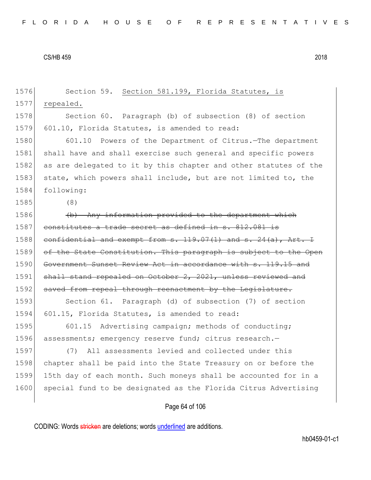| 1576 | Section 59. Section 581.199, Florida Statutes, is                   |
|------|---------------------------------------------------------------------|
| 1577 | repealed.                                                           |
| 1578 | Section 60. Paragraph (b) of subsection (8) of section              |
| 1579 | 601.10, Florida Statutes, is amended to read:                       |
| 1580 | 601.10 Powers of the Department of Citrus. The department           |
| 1581 | shall have and shall exercise such general and specific powers      |
| 1582 | as are delegated to it by this chapter and other statutes of the    |
| 1583 | state, which powers shall include, but are not limited to, the      |
| 1584 | following:                                                          |
| 1585 | (8)                                                                 |
| 1586 | (b) Any information provided to the department which                |
| 1587 | constitutes a trade secret as defined in s. 812.081 is              |
| 1588 | confidential and exempt from $s. 119.07(1)$ and $s. 24(a)$ , Art. I |
| 1589 | of the State Constitution. This paragraph is subject to the Open    |
| 1590 | Government Sunset Review Act in accordance with s. 119.15 and       |
| 1591 | shall stand repealed on October 2, 2021, unless reviewed and        |
| 1592 | saved from repeal through reenactment by the Legislature.           |
| 1593 | Section 61. Paragraph (d) of subsection (7) of section              |
| 1594 | 601.15, Florida Statutes, is amended to read:                       |
| 1595 | Advertising campaign; methods of conducting;<br>601.15              |
| 1596 | assessments; emergency reserve fund; citrus research.-              |
| 1597 | All assessments levied and collected under this<br>(7)              |
| 1598 | chapter shall be paid into the State Treasury on or before the      |
| 1599 | 15th day of each month. Such moneys shall be accounted for in a     |
| 1600 | special fund to be designated as the Florida Citrus Advertising     |
|      | Page 64 of 106                                                      |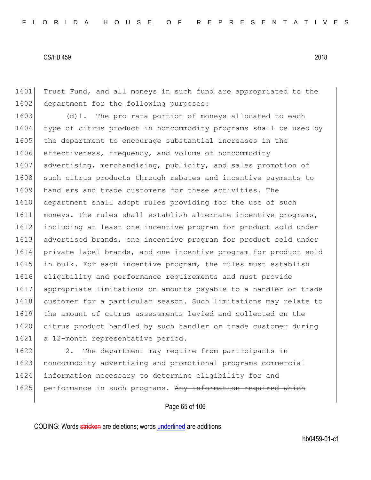1601 Trust Fund, and all moneys in such fund are appropriated to the 1602 department for the following purposes:

1603 (d)1. The pro rata portion of moneys allocated to each 1604 type of citrus product in noncommodity programs shall be used by 1605 the department to encourage substantial increases in the 1606 effectiveness, frequency, and volume of noncommodity 1607 advertising, merchandising, publicity, and sales promotion of 1608 such citrus products through rebates and incentive payments to 1609 handlers and trade customers for these activities. The 1610 department shall adopt rules providing for the use of such 1611 moneys. The rules shall establish alternate incentive programs, 1612 including at least one incentive program for product sold under 1613 advertised brands, one incentive program for product sold under 1614 private label brands, and one incentive program for product sold 1615 in bulk. For each incentive program, the rules must establish 1616 eligibility and performance requirements and must provide 1617 appropriate limitations on amounts payable to a handler or trade 1618 customer for a particular season. Such limitations may relate to 1619 the amount of citrus assessments levied and collected on the 1620 citrus product handled by such handler or trade customer during 1621 a 12-month representative period.

1622 2. The department may require from participants in 1623 noncommodity advertising and promotional programs commercial 1624 information necessary to determine eligibility for and 1625 performance in such programs. Any information required which

# Page 65 of 106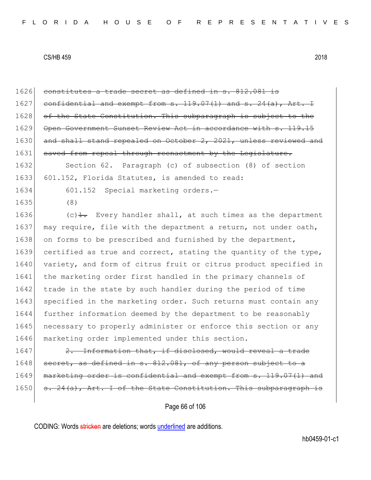1626 constitutes a trade secret as defined in s. 812.081 is 1627 confidential and exempt from s. 119.07(1) and s. 24(a), Art. 1628 of the State Constitution. This subparagraph is subject 1629 Open Government Sunset Review Act in accordance with s. 119. 1630 and shall stand repealed on October 2, 2021, unless reviewed and 1631 saved from repeal through reenactment by the Legislature. 1632 Section 62. Paragraph (c) of subsection (8) of section 1633 601.152, Florida Statutes, is amended to read: 1634 601.152 Special marketing orders.-1635 (8) 1636  $(c)$   $\frac{1}{1}$ . Every handler shall, at such times as the department 1637 may require, file with the department a return, not under oath, 1638 on forms to be prescribed and furnished by the department, 1639 certified as true and correct, stating the quantity of the type, 1640 variety, and form of citrus fruit or citrus product specified in 1641 the marketing order first handled in the primary channels of 1642 trade in the state by such handler during the period of time 1643 specified in the marketing order. Such returns must contain any 1644 further information deemed by the department to be reasonably 1645 necessary to properly administer or enforce this section or any 1646 marketing order implemented under this section. 1647 2. Information that, if disclosed, would reveal a trade  $1648$  secret, as defined in s.  $812.081$ , of any person subject to a 1649 marketing order is confidential and exempt from s. 119.07(1) and

1650 s. 24(a), Art. I of the State Constitution. This subparagraph is

Page 66 of 106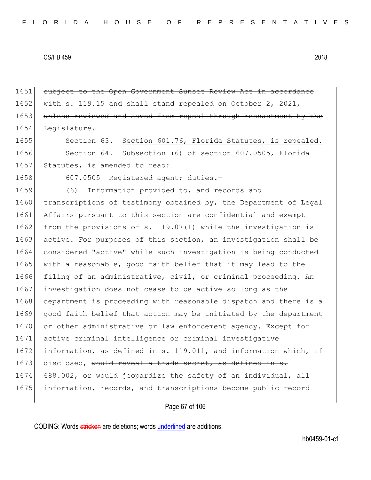1651 subject to the Open Government Sunset Review Act in accordance 1652 with s. 119.15 and shall stand repealed on October 2, 2021, 1653 unless reviewed and saved from repeal through reenactment by the 1654 Legislature. 1655 Section 63. Section 601.76, Florida Statutes, is repealed. 1656 Section 64. Subsection (6) of section 607.0505, Florida 1657 Statutes, is amended to read: 1658 607.0505 Registered agent; duties.-1659 (6) Information provided to, and records and 1660 transcriptions of testimony obtained by, the Department of Legal 1661 Affairs pursuant to this section are confidential and exempt 1662 from the provisions of s. 119.07(1) while the investigation is 1663 active. For purposes of this section, an investigation shall be 1664 considered "active" while such investigation is being conducted 1665 with a reasonable, good faith belief that it may lead to the 1666 filing of an administrative, civil, or criminal proceeding. An 1667 investigation does not cease to be active so long as the 1668 department is proceeding with reasonable dispatch and there is a 1669 good faith belief that action may be initiated by the department 1670 or other administrative or law enforcement agency. Except for 1671 active criminal intelligence or criminal investigative 1672 information, as defined in s. 119.011, and information which, if 1673 disclosed, would reveal a trade secret, as defined in s. 1674 688.002, or would jeopardize the safety of an individual, all 1675 information, records, and transcriptions become public record

# Page 67 of 106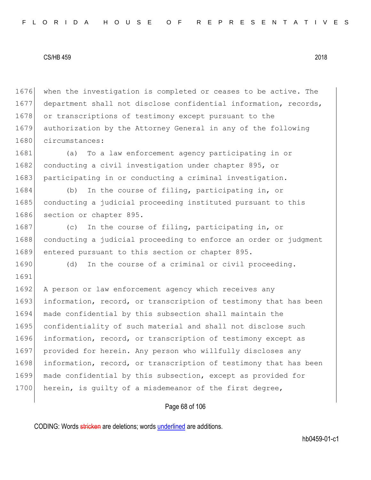1676 when the investigation is completed or ceases to be active. The 1677 department shall not disclose confidential information, records, 1678 or transcriptions of testimony except pursuant to the 1679 authorization by the Attorney General in any of the following 1680 circumstances:

1681 (a) To a law enforcement agency participating in or 1682 conducting a civil investigation under chapter 895, or 1683 participating in or conducting a criminal investigation.

1684 (b) In the course of filing, participating in, or 1685 conducting a judicial proceeding instituted pursuant to this 1686 section or chapter 895.

1690 (d) In the course of a criminal or civil proceeding.

1687 (c) In the course of filing, participating in, or 1688 conducting a judicial proceeding to enforce an order or judgment 1689 entered pursuant to this section or chapter 895.

1691 1692 A person or law enforcement agency which receives any 1693 information, record, or transcription of testimony that has been 1694 made confidential by this subsection shall maintain the 1695 confidentiality of such material and shall not disclose such 1696 information, record, or transcription of testimony except as 1697 provided for herein. Any person who willfully discloses any 1698 information, record, or transcription of testimony that has been 1699 made confidential by this subsection, except as provided for 1700 herein, is quilty of a misdemeanor of the first degree,

# Page 68 of 106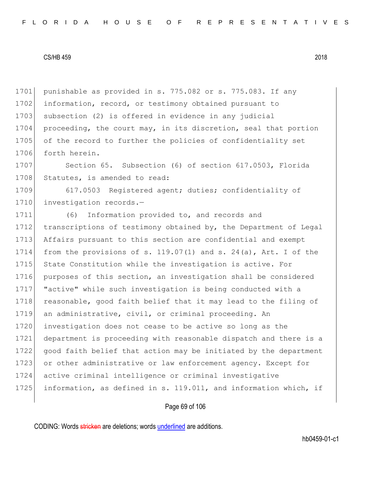1701 punishable as provided in s. 775.082 or s. 775.083. If any 1702 information, record, or testimony obtained pursuant to 1703 subsection (2) is offered in evidence in any judicial 1704 proceeding, the court may, in its discretion, seal that portion 1705 of the record to further the policies of confidentiality set 1706 forth herein.

1707 Section 65. Subsection (6) of section 617.0503, Florida 1708 Statutes, is amended to read:

1709 617.0503 Registered agent; duties; confidentiality of 1710 investigation records.-

1711 (6) Information provided to, and records and 1712 transcriptions of testimony obtained by, the Department of Legal 1713 Affairs pursuant to this section are confidential and exempt 1714 from the provisions of s. 119.07(1) and s. 24(a), Art. I of the 1715 State Constitution while the investigation is active. For 1716 purposes of this section, an investigation shall be considered 1717 "active" while such investigation is being conducted with a 1718 reasonable, good faith belief that it may lead to the filing of 1719 an administrative, civil, or criminal proceeding. An 1720 investigation does not cease to be active so long as the 1721 department is proceeding with reasonable dispatch and there is a 1722 good faith belief that action may be initiated by the department 1723 or other administrative or law enforcement agency. Except for 1724 active criminal intelligence or criminal investigative 1725 information, as defined in s. 119.011, and information which, if

# Page 69 of 106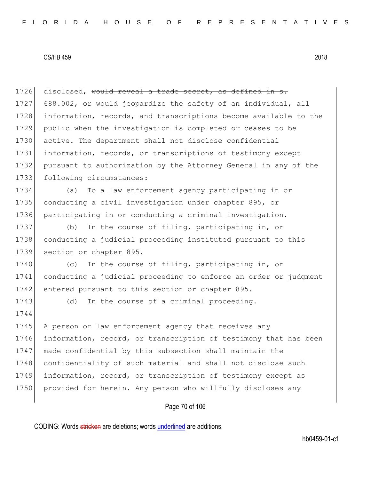| 1726 | disclosed, would reveal a trade secret, as defined in s.         |
|------|------------------------------------------------------------------|
| 1727 | 688.002, or would jeopardize the safety of an individual, all    |
| 1728 | information, records, and transcriptions become available to the |
| 1729 | public when the investigation is completed or ceases to be       |
| 1730 | active. The department shall not disclose confidential           |
| 1731 | information, records, or transcriptions of testimony except      |
| 1732 | pursuant to authorization by the Attorney General in any of the  |
| 1733 | following circumstances:                                         |
| 1734 | To a law enforcement agency participating in or<br>(a)           |
| 1735 | conducting a civil investigation under chapter 895, or           |
| 1736 | participating in or conducting a criminal investigation.         |
| 1737 | In the course of filing, participating in, or<br>(b)             |
| 1738 | conducting a judicial proceeding instituted pursuant to this     |
| 1739 | section or chapter 895.                                          |
| 1740 | In the course of filing, participating in, or<br>(C)             |
| 1741 | conducting a judicial proceeding to enforce an order or judgment |
| 1742 | entered pursuant to this section or chapter 895.                 |
| 1743 | In the course of a criminal proceeding.<br>(d)                   |
| 1744 |                                                                  |
| 1745 | A person or law enforcement agency that receives any             |
| 1746 | information, record, or transcription of testimony that has been |
| 1747 | made confidential by this subsection shall maintain the          |
| 1748 | confidentiality of such material and shall not disclose such     |
| 1749 | information, record, or transcription of testimony except as     |
| 1750 | provided for herein. Any person who willfully discloses any      |
|      |                                                                  |

Page 70 of 106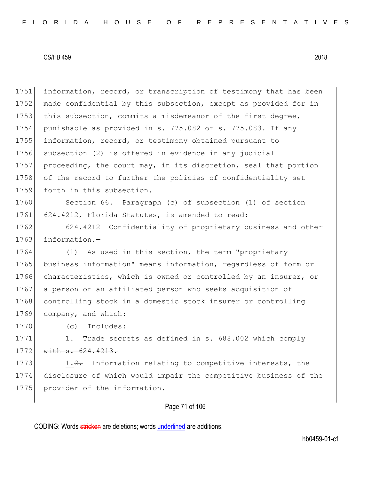1751 information, record, or transcription of testimony that has been 1752 made confidential by this subsection, except as provided for in 1753 this subsection, commits a misdemeanor of the first degree, 1754 punishable as provided in s. 775.082 or s. 775.083. If any 1755 information, record, or testimony obtained pursuant to 1756 subsection (2) is offered in evidence in any judicial 1757 proceeding, the court may, in its discretion, seal that portion 1758 of the record to further the policies of confidentiality set 1759 forth in this subsection.

1760 Section 66. Paragraph (c) of subsection (1) of section 1761 624.4212, Florida Statutes, is amended to read:

1762 624.4212 Confidentiality of proprietary business and other 1763 information.-

1764 (1) As used in this section, the term "proprietary 1765 business information" means information, regardless of form or 1766 characteristics, which is owned or controlled by an insurer, or 1767 a person or an affiliated person who seeks acquisition of 1768 controlling stock in a domestic stock insurer or controlling 1769 company, and which:

1770 (c) Includes:

1771  $\left| \right|$  1. Trade secrets as defined in s. 688.002 which comply 1772 with s. 624.4213.

1773 1.2. Information relating to competitive interests, the 1774 disclosure of which would impair the competitive business of the 1775 provider of the information.

# Page 71 of 106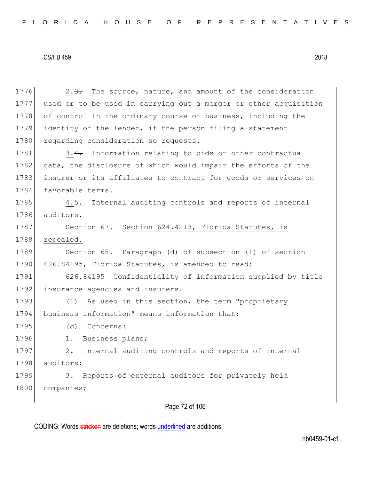1776 2.3. The source, nature, and amount of the consideration 1777 used or to be used in carrying out a merger or other acquisition 1778 of control in the ordinary course of business, including the 1779 identity of the lender, if the person filing a statement 1780 regarding consideration so requests. 1781 3.4. Information relating to bids or other contractual 1782 data, the disclosure of which would impair the efforts of the 1783 insurer or its affiliates to contract for goods or services on 1784 favorable terms. 1785 4.5. Internal auditing controls and reports of internal 1786 auditors. 1787 Section 67. Section 624.4213, Florida Statutes, is 1788 repealed. 1789 Section 68. Paragraph (d) of subsection (1) of section 1790 626.84195, Florida Statutes, is amended to read: 1791 626.84195 Confidentiality of information supplied by title 1792 insurance agencies and insurers.-1793 (1) As used in this section, the term "proprietary 1794 business information" means information that: 1795 (d) Concerns: 1796 1. Business plans; 1797 2. Internal auditing controls and reports of internal 1798 auditors; 1799 3. Reports of external auditors for privately held 1800 companies;

# Page 72 of 106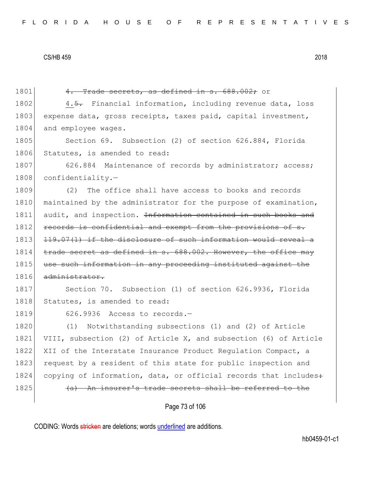1801 4. Trade secrets, as defined in s. 688.002; or

1802 4.5. Financial information, including revenue data, loss 1803 expense data, gross receipts, taxes paid, capital investment, 1804 and employee wages.

1805 Section 69. Subsection (2) of section 626.884, Florida 1806 Statutes, is amended to read:

1807 626.884 Maintenance of records by administrator; access; 1808 confidentiality.-

1809 (2) The office shall have access to books and records 1810 maintained by the administrator for the purpose of examination, 1811 audit, and inspection. <del>Information contained in such books and</del> 1812 records is confidential and exempt from the provisions of s. 1813 119.07(1) if the disclosure of such information would reveal a 1814 trade secret as defined in s. 688.002. However, the office may 1815 use such information in any proceeding instituted against the 1816 administrator.

1817 Section 70. Subsection (1) of section 626.9936, Florida 1818 Statutes, is amended to read:

1819 626.9936 Access to records.-

1820 (1) Notwithstanding subsections (1) and (2) of Article 1821 VIII, subsection (2) of Article X, and subsection (6) of Article 1822 XII of the Interstate Insurance Product Regulation Compact, a 1823 request by a resident of this state for public inspection and 1824 copying of information, data, or official records that includes: 1825 (a) An insurer's trade secrets shall be referred to the

Page 73 of 106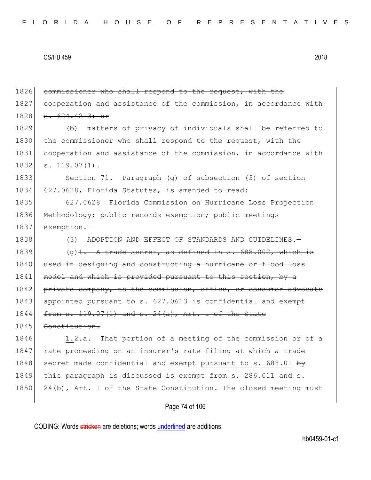1826 commissioner who shall respond to the request, with the 1827 cooperation and assistance of the commission, in accordance 1828 s. 624.4213; or 1829 (b) matters of privacy of individuals shall be referred to 1830 the commissioner who shall respond to the request, with the 1831 cooperation and assistance of the commission, in accordance with 1832 s. 119.07(1). 1833 Section 71. Paragraph (g) of subsection (3) of section 1834 627.0628, Florida Statutes, is amended to read: 1835 627.0628 Florida Commission on Hurricane Loss Projection 1836 Methodology; public records exemption; public meetings 1837 exemption.— 1838 (3) ADOPTION AND EFFECT OF STANDARDS AND GUIDELINES. 1839 (g)  $1. A$  trade secret, as defined in s. 688.002, which is 1840 used in designing and constructing a hurricane or flood loss 1841 model and which is provided pursuant to this section, by a 1842 private company, to the commission, office, or consumer advocate 1843 appointed pursuant to s. 627.0613 is confidential and exempt  $1844$  from s. 119.07(1) and s. 24(a), Art. I of the State 1845 Constitution. 1846 1.2.a. That portion of a meeting of the commission or of a 1847 | rate proceeding on an insurer's rate filing at which a trade 1848 secret made confidential and exempt pursuant to s. 688.01 by 1849  $\overline{this\ parameter}$  is discussed is exempt from s. 286.011 and s. 1850 24(b), Art. I of the State Constitution. The closed meeting must

# Page 74 of 106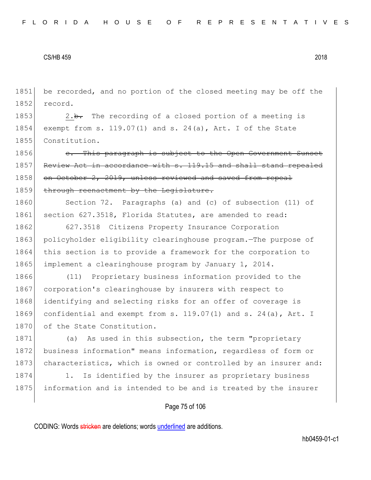1851 be recorded, and no portion of the closed meeting may be off the 1852 record.

1853 2.b. The recording of a closed portion of a meeting is 1854 exempt from s. 119.07(1) and s. 24(a), Art. I of the State 1855 Constitution.

1856 **c.** This paragraph is subject to the Open Government Sunset 1857 Review Act in accordance with s. 119.15 and shall stand repealed 1858 on October 2, 2019, unless reviewed and saved from repeal 1859 through reenactment by the Legislature.

1860 Section 72. Paragraphs (a) and (c) of subsection (11) of 1861 section 627.3518, Florida Statutes, are amended to read:

1862 627.3518 Citizens Property Insurance Corporation 1863 policyholder eligibility clearinghouse program.—The purpose of 1864 this section is to provide a framework for the corporation to 1865 implement a clearinghouse program by January 1, 2014.

1866 (11) Proprietary business information provided to the 1867 corporation's clearinghouse by insurers with respect to 1868 identifying and selecting risks for an offer of coverage is 1869 confidential and exempt from s. 119.07(1) and s. 24(a), Art. I 1870 of the State Constitution.

1871 (a) As used in this subsection, the term "proprietary 1872 business information" means information, regardless of form or 1873 characteristics, which is owned or controlled by an insurer and:

1874 1. Is identified by the insurer as proprietary business 1875 information and is intended to be and is treated by the insurer

## Page 75 of 106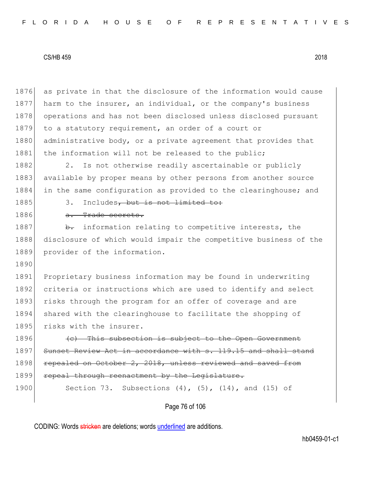1876 as private in that the disclosure of the information would cause 1877 harm to the insurer, an individual, or the company's business 1878 operations and has not been disclosed unless disclosed pursuant 1879 to a statutory requirement, an order of a court or 1880 administrative body, or a private agreement that provides that 1881 the information will not be released to the public;

1882 2. Is not otherwise readily ascertainable or publicly 1883 available by proper means by other persons from another source 1884 in the same configuration as provided to the clearinghouse; and

# 1885 3. Includes, but is not limited to:

1886 a. Trade secrets.

1887 **b.** information relating to competitive interests, the 1888 disclosure of which would impair the competitive business of the 1889 provider of the information.

1890

1891 Proprietary business information may be found in underwriting 1892 criteria or instructions which are used to identify and select 1893 risks through the program for an offer of coverage and are 1894 shared with the clearinghouse to facilitate the shopping of 1895 risks with the insurer.

 $1896$  (c) This subsection is subject to the Open Government 1897 Sunset Review Act in accordance with s. 119.15 and shall stand 1898 repealed on October 2, 2018, unless reviewed and saved from 1899 repeal through reenactment by the Legislature.

1900 Section 73. Subsections (4), (5), (14), and (15) of

# Page 76 of 106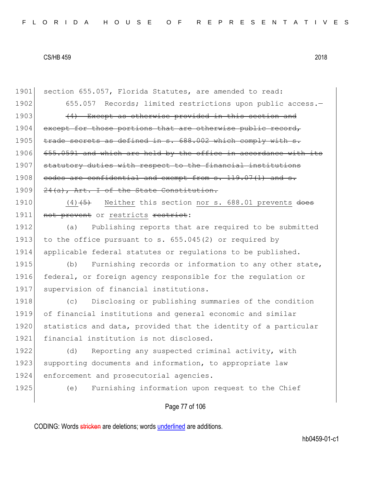1901 section 655.057, Florida Statutes, are amended to read: 1902 655.057 Records; limited restrictions upon public access.-1903 (4) Except as otherwise provided in this section and 1904 except for those portions that are otherwise public record, 1905 trade secrets as defined in s. 688.002 which comply with s. 1906 655.0591 and which are held by the office in accordance with its 1907 statutory duties with respect to the financial institutions 1908 codes are confidential and exempt from s. 119.07(1) and s. 1909 24(a), Art. I of the State Constitution. 1910  $(4)$   $(5)$  Neither this section nor s. 688.01 prevents does

1911 not prevent or restricts restrict:

1912 (a) Publishing reports that are required to be submitted 1913 to the office pursuant to s.  $655.045(2)$  or required by 1914 applicable federal statutes or regulations to be published.

1915 (b) Furnishing records or information to any other state, 1916 federal, or foreign agency responsible for the regulation or 1917 supervision of financial institutions.

1918 (c) Disclosing or publishing summaries of the condition 1919 of financial institutions and general economic and similar 1920 statistics and data, provided that the identity of a particular 1921 financial institution is not disclosed.

1922 (d) Reporting any suspected criminal activity, with 1923 supporting documents and information, to appropriate law 1924 enforcement and prosecutorial agencies.

1925 (e) Furnishing information upon request to the Chief

# Page 77 of 106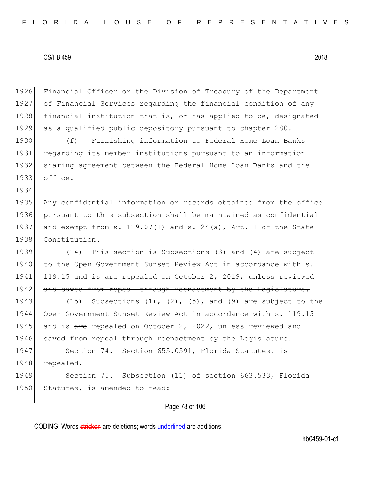1934

1926 Financial Officer or the Division of Treasury of the Department 1927 of Financial Services regarding the financial condition of any 1928 financial institution that is, or has applied to be, designated 1929 as a qualified public depository pursuant to chapter 280.

 (f) Furnishing information to Federal Home Loan Banks regarding its member institutions pursuant to an information sharing agreement between the Federal Home Loan Banks and the 1933 office.

 Any confidential information or records obtained from the office pursuant to this subsection shall be maintained as confidential 1937 and exempt from s.  $119.07(1)$  and s.  $24(a)$ , Art. I of the State Constitution.

1939  $(14)$  This section is Subsections  $(3)$  and  $(4)$  are subject 1940 to the Open Government Sunset Review Act in accordance with s. 1941 <del>119.15 and is are repealed on October 2, 2019, unless reviewed</del> 1942 and saved from repeal through reenactment by the Legislature.

1943  $(15)$  Subsections  $(1)$ ,  $(2)$ ,  $(5)$ , and  $(9)$  are subject to the 1944 Open Government Sunset Review Act in accordance with s. 119.15 1945 and is are repealed on October 2, 2022, unless reviewed and 1946 saved from repeal through reenactment by the Legislature.

1947 Section 74. Section 655.0591, Florida Statutes, is 1948 repealed.

1949 Section 75. Subsection (11) of section 663.533, Florida 1950 Statutes, is amended to read:

# Page 78 of 106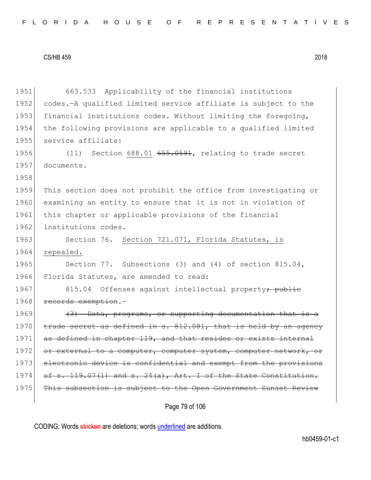| 1951 | 663.533 Applicability of the financial institutions                |
|------|--------------------------------------------------------------------|
| 1952 | codes.-A qualified limited service affiliate is subject to the     |
| 1953 | financial institutions codes. Without limiting the foregoing,      |
| 1954 | the following provisions are applicable to a qualified limited     |
| 1955 | service affiliate:                                                 |
| 1956 | (11) Section 688.01 655.0591, relating to trade secret             |
| 1957 | documents.                                                         |
| 1958 |                                                                    |
| 1959 | This section does not prohibit the office from investigating or    |
| 1960 | examining an entity to ensure that it is not in violation of       |
| 1961 | this chapter or applicable provisions of the financial             |
| 1962 | institutions codes.                                                |
| 1963 | Section 76. Section 721.071, Florida Statutes, is                  |
| 1964 | repealed.                                                          |
| 1965 | Section 77. Subsections (3) and (4) of section $815.04$ ,          |
| 1966 | Florida Statutes, are amended to read:                             |
| 1967 | 815.04 Offenses against intellectual property <del>; public</del>  |
| 1968 | records exemption.-                                                |
| 1969 | (3) Data, programs, or supporting documentation that is a          |
| 1970 | trade secret as defined in s. 812.081, that is held by an agency   |
| 1971 | as defined in chapter 119, and that resides or exists internal     |
| 1972 | or external to a computer, computer system, computer network, or   |
| 1973 | electronic device is confidential and exempt from the provisions   |
| 1974 | of s. 119.07(1) and s. $24(a)$ , Art. I of the State Constitution. |
| 1975 | This subsection is subject to the Open Government Sunset Review    |
|      |                                                                    |

Page 79 of 106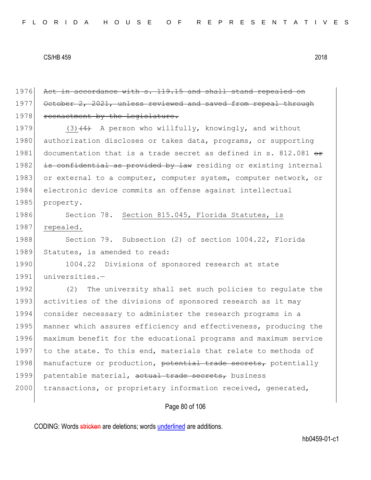1976 Act in accordance with s. 119.15 and shall stand repealed on 1977 October 2, 2021, unless reviewed and saved from repeal through 1978 reenactment by the Legislature.

1979 (3) $(4)$  A person who willfully, knowingly, and without 1980 authorization discloses or takes data, programs, or supporting 1981 documentation that is a trade secret as defined in s. 812.081  $\leftrightarrow$ 1982 is confidential as provided by law residing or existing internal 1983 or external to a computer, computer system, computer network, or 1984 electronic device commits an offense against intellectual 1985 property.

1986 Section 78. Section 815.045, Florida Statutes, is 1987 repealed.

1988 Section 79. Subsection (2) of section 1004.22, Florida 1989 Statutes, is amended to read:

1990 1004.22 Divisions of sponsored research at state 1991 universities.-

1992 (2) The university shall set such policies to regulate the 1993 activities of the divisions of sponsored research as it may 1994 consider necessary to administer the research programs in a 1995 manner which assures efficiency and effectiveness, producing the 1996 maximum benefit for the educational programs and maximum service 1997 to the state. To this end, materials that relate to methods of 1998 manufacture or production, potential trade secrets, potentially 1999 patentable material, actual trade secrets, business 2000 transactions, or proprietary information received, generated,

# Page 80 of 106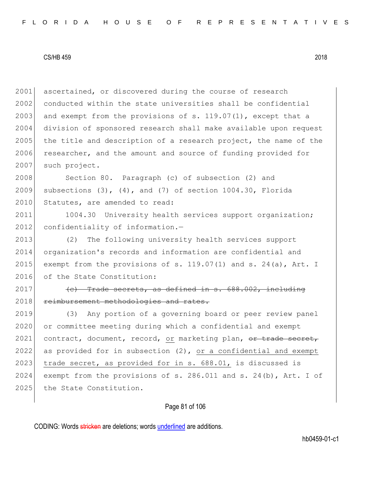2001 ascertained, or discovered during the course of research 2002 conducted within the state universities shall be confidential 2003 and exempt from the provisions of s.  $119.07(1)$ , except that a 2004 division of sponsored research shall make available upon request 2005 the title and description of a research project, the name of the 2006 researcher, and the amount and source of funding provided for 2007 such project.

2008 Section 80. Paragraph (c) of subsection (2) and 2009 subsections  $(3)$ ,  $(4)$ , and  $(7)$  of section 1004.30, Florida 2010 Statutes, are amended to read:

2011 1004.30 University health services support organization; 2012 confidentiality of information.-

2013 (2) The following university health services support 2014 organization's records and information are confidential and 2015 exempt from the provisions of s. 119.07(1) and s. 24(a), Art. I 2016 of the State Constitution:

 $2017$  (c) Trade secrets, as defined in s.  $688.002$ , including 2018 reimbursement methodologies and rates.

2019 (3) Any portion of a governing board or peer review panel 2020 or committee meeting during which a confidential and exempt 2021 contract, document, record, or marketing plan, or trade secret, 2022 as provided for in subsection  $(2)$ , or a confidential and exempt 2023 trade secret, as provided for in s.  $688.01$ , is discussed is 2024 exempt from the provisions of s. 286.011 and s. 24(b), Art. I of 2025 the State Constitution.

# Page 81 of 106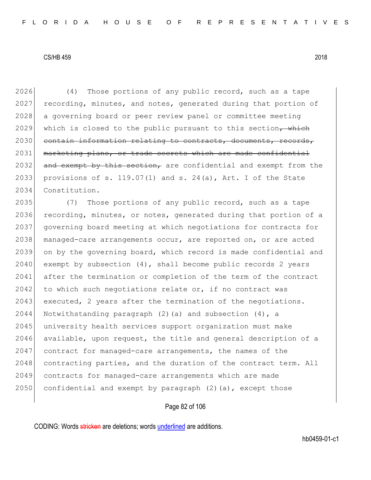2026 (4) Those portions of any public record, such as a tape 2027 recording, minutes, and notes, generated during that portion of 2028 a governing board or peer review panel or committee meeting 2029 which is closed to the public pursuant to this section, which 2030 contain information relating to contracts, documents, records, 2031 marketing plans, or trade secrets which are made confidential 2032 and exempt by this section, are confidential and exempt from the 2033 provisions of s. 119.07(1) and s. 24(a), Art. I of the State 2034 Constitution.

2035 (7) Those portions of any public record, such as a tape 2036 recording, minutes, or notes, generated during that portion of a 2037 governing board meeting at which negotiations for contracts for 2038 managed-care arrangements occur, are reported on, or are acted 2039 on by the governing board, which record is made confidential and  $2040$  exempt by subsection  $(4)$ , shall become public records 2 years 2041 after the termination or completion of the term of the contract  $2042$  to which such negotiations relate or, if no contract was  $2043$  executed, 2 years after the termination of the negotiations. 2044 Notwithstanding paragraph (2)(a) and subsection (4), a 2045 university health services support organization must make  $2046$  available, upon request, the title and general description of a 2047 contract for managed-care arrangements, the names of the 2048 contracting parties, and the duration of the contract term. All 2049 contracts for managed-care arrangements which are made 2050 confidential and exempt by paragraph  $(2)$  (a), except those

# Page 82 of 106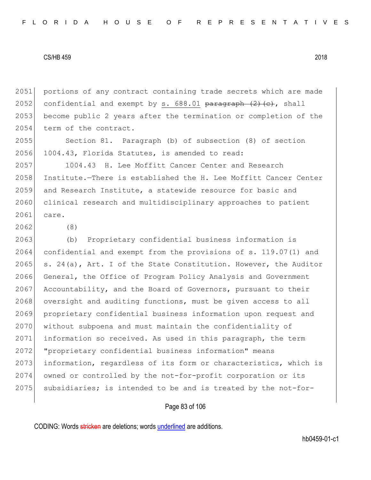2051 portions of any contract containing trade secrets which are made 2052 confidential and exempt by s.  $688.01$  paragraph  $(2)$  (e), shall 2053 become public 2 years after the termination or completion of the 2054 term of the contract.

2055 Section 81. Paragraph (b) of subsection (8) of section 2056 1004.43, Florida Statutes, is amended to read:

2057 1004.43 H. Lee Moffitt Cancer Center and Research 2058 Institute.—There is established the H. Lee Moffitt Cancer Center 2059 and Research Institute, a statewide resource for basic and 2060 clinical research and multidisciplinary approaches to patient 2061 care.

2062 (8)

2063 (b) Proprietary confidential business information is 2064 confidential and exempt from the provisions of s. 119.07(1) and 2065 s. 24(a), Art. I of the State Constitution. However, the Auditor 2066 General, the Office of Program Policy Analysis and Government 2067 Accountability, and the Board of Governors, pursuant to their 2068 oversight and auditing functions, must be given access to all 2069 proprietary confidential business information upon request and 2070 without subpoena and must maintain the confidentiality of 2071 information so received. As used in this paragraph, the term 2072 "proprietary confidential business information" means 2073 information, regardless of its form or characteristics, which is 2074 owned or controlled by the not-for-profit corporation or its 2075 subsidiaries; is intended to be and is treated by the not-for-

# Page 83 of 106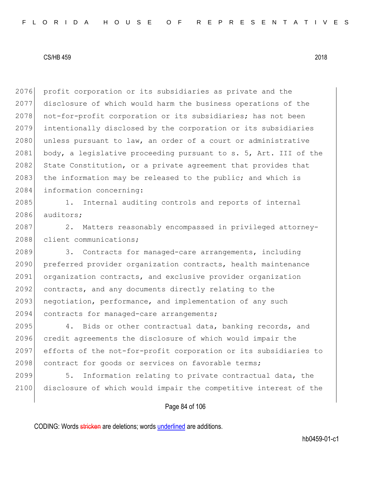2076 profit corporation or its subsidiaries as private and the 2077 disclosure of which would harm the business operations of the 2078 not-for-profit corporation or its subsidiaries; has not been 2079 intentionally disclosed by the corporation or its subsidiaries 2080 unless pursuant to law, an order of a court or administrative 2081 body, a legislative proceeding pursuant to s. 5, Art. III of the 2082 State Constitution, or a private agreement that provides that 2083 the information may be released to the public; and which is 2084 information concerning:

2085 1. Internal auditing controls and reports of internal 2086 auditors;

2087 2. Matters reasonably encompassed in privileged attorney-2088 client communications;

2089 3. Contracts for managed-care arrangements, including 2090 preferred provider organization contracts, health maintenance 2091 organization contracts, and exclusive provider organization 2092 contracts, and any documents directly relating to the 2093 negotiation, performance, and implementation of any such 2094 contracts for managed-care arrangements;

2095 4. Bids or other contractual data, banking records, and 2096 credit agreements the disclosure of which would impair the 2097 efforts of the not-for-profit corporation or its subsidiaries to 2098 contract for goods or services on favorable terms;

2099 5. Information relating to private contractual data, the 2100 disclosure of which would impair the competitive interest of the

# Page 84 of 106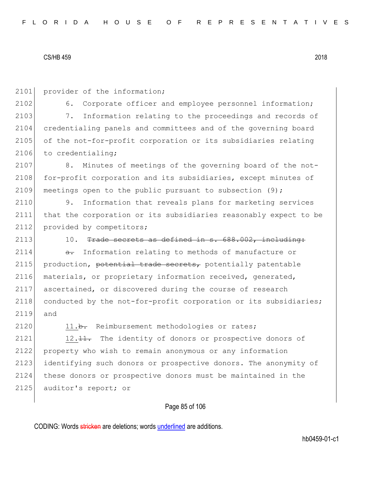2101 provider of the information;

2102 6. Corporate officer and employee personnel information; 2103 7. Information relating to the proceedings and records of 2104 credentialing panels and committees and of the governing board 2105 of the not-for-profit corporation or its subsidiaries relating 2106 to credentialing;

2107 8. Minutes of meetings of the governing board of the not-2108 for-profit corporation and its subsidiaries, except minutes of 2109 meetings open to the public pursuant to subsection  $(9)$ ;

2110 9. Information that reveals plans for marketing services 2111 that the corporation or its subsidiaries reasonably expect to be 2112 provided by competitors;

2113 10. Trade secrets as defined in  $s. 688.002$ , including:

 $2114$  a. Information relating to methods of manufacture or 2115 production, potential trade secrets, potentially patentable 2116 materials, or proprietary information received, generated, 2117 ascertained, or discovered during the course of research 2118 conducted by the not-for-profit corporation or its subsidiaries; 2119 and

2120 11.b. Reimbursement methodologies or rates;

2121 12. 11. The identity of donors or prospective donors of 2122 property who wish to remain anonymous or any information 2123 identifying such donors or prospective donors. The anonymity of 2124 these donors or prospective donors must be maintained in the 2125 auditor's report; or

# Page 85 of 106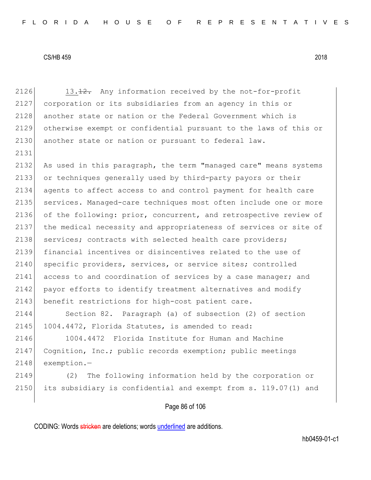2126 13.12. Any information received by the not-for-profit 2127 corporation or its subsidiaries from an agency in this or 2128 another state or nation or the Federal Government which is 2129 otherwise exempt or confidential pursuant to the laws of this or 2130 another state or nation or pursuant to federal law. 2131 2132 As used in this paragraph, the term "managed care" means systems 2133 or techniques generally used by third-party payors or their 2134 agents to affect access to and control payment for health care 2135 services. Managed-care techniques most often include one or more 2136 of the following: prior, concurrent, and retrospective review of 2137 the medical necessity and appropriateness of services or site of 2138 services; contracts with selected health care providers; 2139 financial incentives or disincentives related to the use of 2140 specific providers, services, or service sites; controlled 2141 access to and coordination of services by a case manager; and 2142 payor efforts to identify treatment alternatives and modify 2143 benefit restrictions for high-cost patient care. 2144 Section 82. Paragraph (a) of subsection (2) of section 2145 1004.4472, Florida Statutes, is amended to read: 2146 1004.4472 Florida Institute for Human and Machine 2147 Cognition, Inc.; public records exemption; public meetings 2148 exemption.-2149 (2) The following information held by the corporation or 2150 its subsidiary is confidential and exempt from s. 119.07(1) and

# Page 86 of 106

CODING: Words stricken are deletions; words underlined are additions.

hb0459-01-c1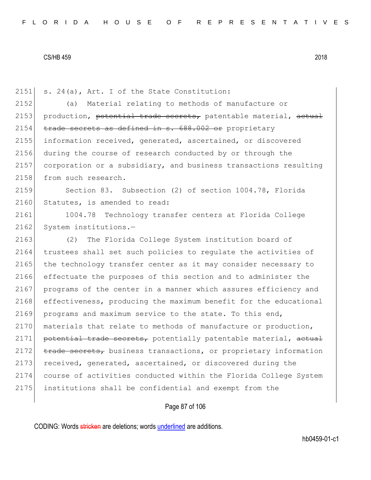2151 s. 24(a), Art. I of the State Constitution: 2152 (a) Material relating to methods of manufacture or 2153 production, potential trade secrets, patentable material,  $a$ etual 2154 trade secrets as defined in s. 688.002 or proprietary 2155 information received, generated, ascertained, or discovered 2156 during the course of research conducted by or through the 2157 corporation or a subsidiary, and business transactions resulting 2158 from such research. 2159 Section 83. Subsection (2) of section 1004.78, Florida 2160 Statutes, is amended to read: 2161 1004.78 Technology transfer centers at Florida College 2162 System institutions.-2163 (2) The Florida College System institution board of 2164 trustees shall set such policies to regulate the activities of 2165 the technology transfer center as it may consider necessary to 2166 effectuate the purposes of this section and to administer the 2167 programs of the center in a manner which assures efficiency and 2168 effectiveness, producing the maximum benefit for the educational 2169 programs and maximum service to the state. To this end, 2170 materials that relate to methods of manufacture or production, 2171 potential trade secrets, potentially patentable material, actual 2172 trade secrets, business transactions, or proprietary information 2173 received, generated, ascertained, or discovered during the 2174 course of activities conducted within the Florida College System 2175 institutions shall be confidential and exempt from the

# Page 87 of 106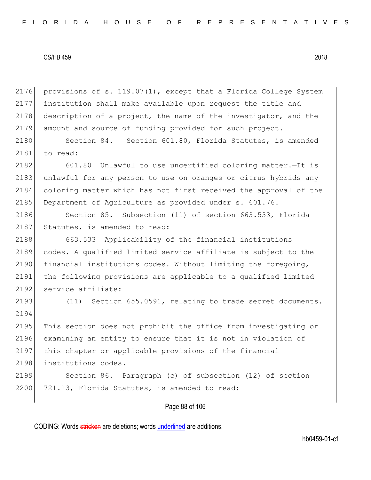provisions of s. 119.07(1), except that a Florida College System institution shall make available upon request the title and 2178 description of a project, the name of the investigator, and the amount and source of funding provided for such project.

2180 Section 84. Section 601.80, Florida Statutes, is amended 2181 to read:

2182 601.80 Unlawful to use uncertified coloring matter. - It is 2183 unlawful for any person to use on oranges or citrus hybrids any 2184 coloring matter which has not first received the approval of the 2185 Department of Agriculture as provided under s. 601.76.

2186 Section 85. Subsection (11) of section 663.533, Florida 2187 Statutes, is amended to read:

2188 663.533 Applicability of the financial institutions 2189 codes.—A qualified limited service affiliate is subject to the 2190 financial institutions codes. Without limiting the foregoing, 2191 the following provisions are applicable to a qualified limited 2192 service affiliate:

2194

2193 (11) Section 655.0591, relating to trade secret documents.

2195 This section does not prohibit the office from investigating or 2196 examining an entity to ensure that it is not in violation of 2197 this chapter or applicable provisions of the financial 2198 institutions codes.

2199 Section 86. Paragraph (c) of subsection (12) of section 2200 721.13, Florida Statutes, is amended to read:

# Page 88 of 106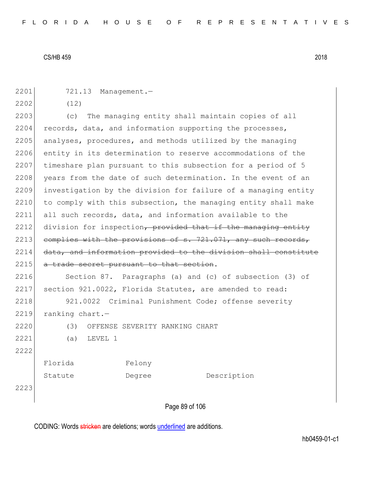| 2201 | 721.13 Management.-                                             |
|------|-----------------------------------------------------------------|
| 2202 | (12)                                                            |
| 2203 | The managing entity shall maintain copies of all<br>(C)         |
| 2204 | records, data, and information supporting the processes,        |
| 2205 | analyses, procedures, and methods utilized by the managing      |
| 2206 | entity in its determination to reserve accommodations of the    |
| 2207 | timeshare plan pursuant to this subsection for a period of 5    |
| 2208 | years from the date of such determination. In the event of an   |
| 2209 | investigation by the division for failure of a managing entity  |
| 2210 | to comply with this subsection, the managing entity shall make  |
| 2211 | all such records, data, and information available to the        |
| 2212 | division for inspection, provided that if the managing entity   |
| 2213 | complies with the provisions of s. 721.071, any such records,   |
| 2214 | data, and information provided to the division shall constitute |
| 2215 | a trade secret pursuant to that section.                        |
| 2216 | Section 87. Paragraphs (a) and (c) of subsection (3) of         |
| 2217 | section 921.0022, Florida Statutes, are amended to read:        |
| 2218 | 921.0022 Criminal Punishment Code; offense severity             |
| 2219 | ranking chart.-                                                 |
| 2220 | (3)<br>OFFENSE SEVERITY RANKING CHART                           |
| 2221 | LEVEL 1<br>(a)                                                  |
| 2222 |                                                                 |
|      | Florida<br>Felony                                               |
|      | Description<br>Statute<br>Degree                                |
| 2223 |                                                                 |
|      |                                                                 |

Page 89 of 106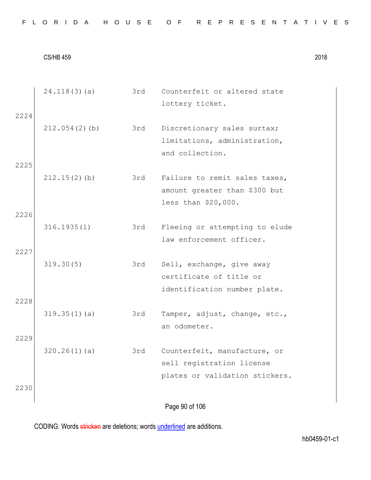|  |  |  |  |  |  |  |  |  |  |  |  |  |  | FLORIDA HOUSE OF REPRESENTATIVES |  |  |  |  |  |  |  |  |  |  |  |  |  |  |  |  |  |  |
|--|--|--|--|--|--|--|--|--|--|--|--|--|--|----------------------------------|--|--|--|--|--|--|--|--|--|--|--|--|--|--|--|--|--|--|
|--|--|--|--|--|--|--|--|--|--|--|--|--|--|----------------------------------|--|--|--|--|--|--|--|--|--|--|--|--|--|--|--|--|--|--|

Page 90 of 106 24.118(3)(a) 3rd Counterfeit or altered state lottery ticket. 2224 212.054(2)(b) 3rd Discretionary sales surtax; limitations, administration, and collection. 2225 212.15(2)(b) 3rd Failure to remit sales taxes, amount greater than \$300 but less than \$20,000. 2226 316.1935(1) 3rd Fleeing or attempting to elude law enforcement officer. 2227 319.30(5) 3rd Sell, exchange, give away certificate of title or identification number plate. 2228 319.35(1)(a) 3rd Tamper, adjust, change, etc., an odometer. 2229 320.26(1)(a) 3rd Counterfeit, manufacture, or sell registration license plates or validation stickers. 2230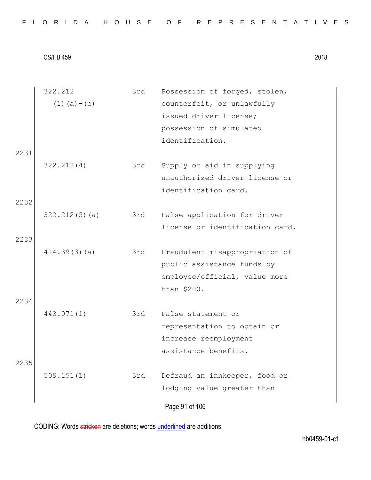|  |  |  |  |  |  |  |  |  |  |  |  |  |  | FLORIDA HOUSE OF REPRESENTATIVES |  |  |  |  |  |  |  |  |  |  |  |  |  |  |  |  |  |  |
|--|--|--|--|--|--|--|--|--|--|--|--|--|--|----------------------------------|--|--|--|--|--|--|--|--|--|--|--|--|--|--|--|--|--|--|
|--|--|--|--|--|--|--|--|--|--|--|--|--|--|----------------------------------|--|--|--|--|--|--|--|--|--|--|--|--|--|--|--|--|--|--|

| 2231 | 322.212<br>$(1)$ $(a) - (c)$ | 3rd | Possession of forged, stolen,<br>counterfeit, or unlawfully<br>issued driver license;<br>possession of simulated<br>identification. |
|------|------------------------------|-----|-------------------------------------------------------------------------------------------------------------------------------------|
| 2232 | 322.212(4)                   | 3rd | Supply or aid in supplying<br>unauthorized driver license or<br>identification card.                                                |
| 2233 | 322.212(5)(a)                | 3rd | False application for driver<br>license or identification card.                                                                     |
| 2234 | 414.39(3)(a)                 | 3rd | Fraudulent misappropriation of<br>public assistance funds by<br>employee/official, value more<br>than \$200.                        |
| 2235 | 443.071(1)                   | 3rd | False statement or<br>representation to obtain or<br>increase reemployment<br>assistance benefits.                                  |
|      | 509.151(1)                   | 3rd | Defraud an innkeeper, food or<br>lodging value greater than<br>Page 91 of 106                                                       |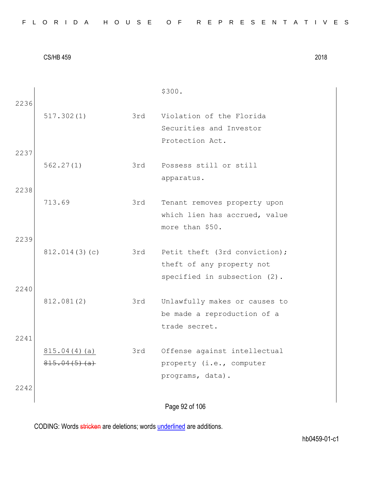|  |  |  |  |  |  |  |  |  |  |  |  |  |  | FLORIDA HOUSE OF REPRESENTATIVES |  |  |  |  |  |  |  |  |  |  |  |  |  |  |  |  |  |
|--|--|--|--|--|--|--|--|--|--|--|--|--|--|----------------------------------|--|--|--|--|--|--|--|--|--|--|--|--|--|--|--|--|--|
|--|--|--|--|--|--|--|--|--|--|--|--|--|--|----------------------------------|--|--|--|--|--|--|--|--|--|--|--|--|--|--|--|--|--|

|      |                              |     | \$300.                                                                                     |
|------|------------------------------|-----|--------------------------------------------------------------------------------------------|
| 2236 | 517.302(1)                   | 3rd | Violation of the Florida<br>Securities and Investor<br>Protection Act.                     |
| 2237 |                              |     |                                                                                            |
|      | 562.27(1)                    | 3rd | Possess still or still<br>apparatus.                                                       |
| 2238 |                              |     |                                                                                            |
|      | 713.69                       | 3rd | Tenant removes property upon<br>which lien has accrued, value<br>more than \$50.           |
| 2239 |                              |     |                                                                                            |
|      | 812.014(3)(c)                | 3rd | Petit theft (3rd conviction);<br>theft of any property not<br>specified in subsection (2). |
| 2240 |                              |     |                                                                                            |
|      | 812.081(2)                   | 3rd | Unlawfully makes or causes to<br>be made a reproduction of a<br>trade secret.              |
| 2241 |                              |     |                                                                                            |
| 2242 | 815.04(4)(a)<br>815.04(5)(a) | 3rd | Offense against intellectual<br>property (i.e., computer<br>programs, data).               |
|      |                              |     | Page 92 of 106                                                                             |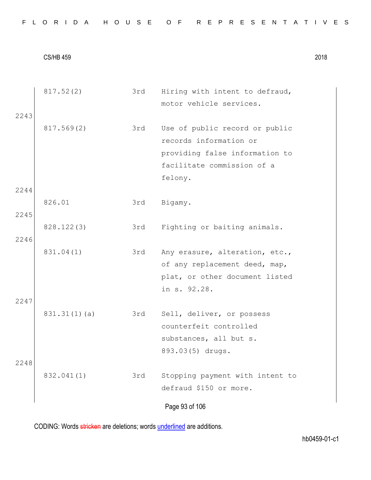|      | 817.52(2)    | 3rd | Hiring with intent to defraud,  |
|------|--------------|-----|---------------------------------|
|      |              |     | motor vehicle services.         |
| 2243 |              |     |                                 |
|      | 817.569(2)   | 3rd | Use of public record or public  |
|      |              |     | records information or          |
|      |              |     | providing false information to  |
|      |              |     | facilitate commission of a      |
|      |              |     | felony.                         |
| 2244 |              |     |                                 |
|      | 826.01       | 3rd | Bigamy.                         |
| 2245 |              |     |                                 |
|      | 828.122(3)   | 3rd | Fighting or baiting animals.    |
| 2246 |              |     |                                 |
|      | 831.04(1)    | 3rd | Any erasure, alteration, etc.,  |
|      |              |     | of any replacement deed, map,   |
|      |              |     | plat, or other document listed  |
|      |              |     | in s. 92.28.                    |
| 2247 |              |     |                                 |
|      | 831.31(1)(a) | 3rd | Sell, deliver, or possess       |
|      |              |     | counterfeit controlled          |
|      |              |     | substances, all but s.          |
|      |              |     | 893.03(5) drugs.                |
| 2248 |              |     |                                 |
|      | 832.041(1)   | 3rd | Stopping payment with intent to |
|      |              |     | defraud \$150 or more.          |
|      |              |     |                                 |
|      |              |     | Page 93 of 106                  |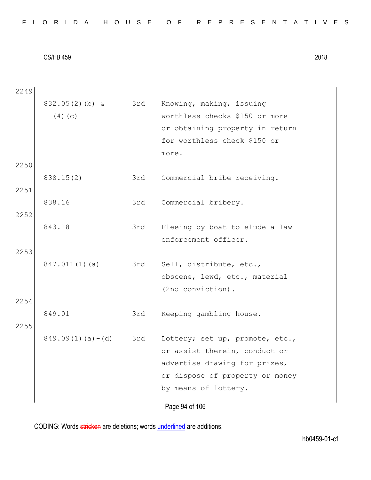|  |  | FLORIDA HOUSE OF REPRESENTATIVES |
|--|--|----------------------------------|
|--|--|----------------------------------|

Page 94 of 106 2249 832.05(2)(b) &  $(4)(c)$ 3rd Knowing, making, issuing worthless checks \$150 or more or obtaining property in return for worthless check \$150 or more. 2250 838.15(2) 3rd Commercial bribe receiving. 2251 838.16 3rd Commercial bribery. 2252 843.18 3rd Fleeing by boat to elude a law enforcement officer. 2253 847.011(1)(a) 3rd Sell, distribute, etc., obscene, lewd, etc., material (2nd conviction). 2254 849.01 3rd Keeping gambling house. 2255  $849.09(1)(a) - (d)$  3rd Lottery; set up, promote, etc., or assist therein, conduct or advertise drawing for prizes, or dispose of property or money by means of lottery.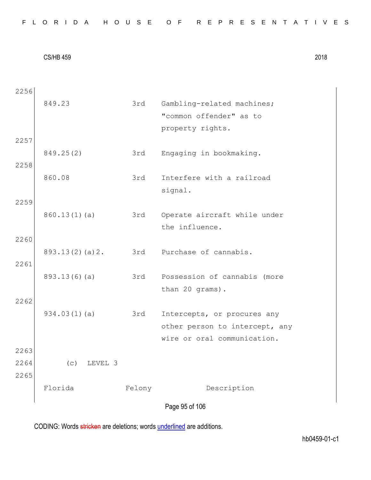Page 95 of 106 2256 849.23 3rd Gambling-related machines; "common offender" as to property rights. 2257 849.25(2) 3rd Engaging in bookmaking. 2258 860.08 3rd Interfere with a railroad signal. 2259 860.13(1)(a) 3rd Operate aircraft while under the influence. 2260 893.13(2)(a)2. 3rd Purchase of cannabis. 2261 893.13(6)(a) 3rd Possession of cannabis (more than 20 grams). 2262 934.03(1)(a) 3rd Intercepts, or procures any other person to intercept, any wire or oral communication. 2263 2264 (c) LEVEL 3 2265 Florida Felony Description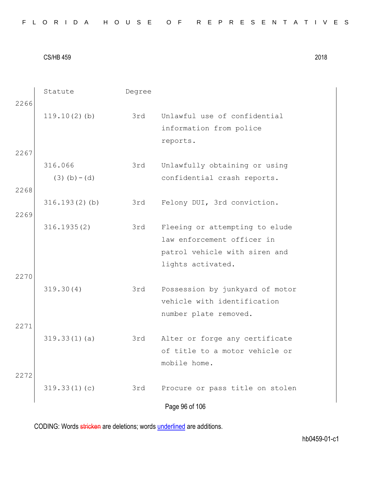|  |  |  |  |  |  |  |  |  |  | FLORIDA HOUSE OF REPRESENTATIVES |  |  |  |  |  |  |  |  |  |  |  |  |  |  |  |  |
|--|--|--|--|--|--|--|--|--|--|----------------------------------|--|--|--|--|--|--|--|--|--|--|--|--|--|--|--|--|
|--|--|--|--|--|--|--|--|--|--|----------------------------------|--|--|--|--|--|--|--|--|--|--|--|--|--|--|--|--|

|      | Statute          | Degree |                                 |
|------|------------------|--------|---------------------------------|
| 2266 |                  |        |                                 |
|      | $119.10(2)$ (b)  | 3rd    | Unlawful use of confidential    |
|      |                  |        | information from police         |
|      |                  |        | reports.                        |
| 2267 |                  |        |                                 |
|      | 316.066          | 3rd    | Unlawfully obtaining or using   |
|      | $(3)$ (b) – (d)  |        | confidential crash reports.     |
| 2268 |                  |        |                                 |
|      | $316.193(2)$ (b) | 3rd    |                                 |
|      |                  |        | Felony DUI, 3rd conviction.     |
| 2269 |                  |        |                                 |
|      | 316.1935(2)      | 3rd    | Fleeing or attempting to elude  |
|      |                  |        | law enforcement officer in      |
|      |                  |        | patrol vehicle with siren and   |
|      |                  |        | lights activated.               |
| 2270 |                  |        |                                 |
|      | 319.30(4)        | 3rd    | Possession by junkyard of motor |
|      |                  |        | vehicle with identification     |
|      |                  |        | number plate removed.           |
| 2271 |                  |        |                                 |
|      | 319.33(1)(a)     | 3rd    | Alter or forge any certificate  |
|      |                  |        | of title to a motor vehicle or  |
|      |                  |        | mobile home.                    |
| 2272 |                  |        |                                 |
|      |                  |        |                                 |
|      | 319.33(1)(c)     | 3rd    | Procure or pass title on stolen |
|      |                  |        | Page 96 of 106                  |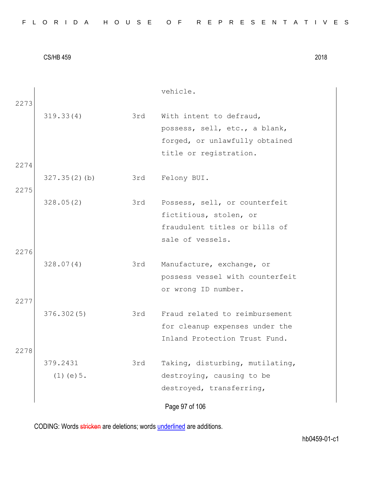|  |  |  | FLORIDA HOUSE OF REPRESENTATIVES |  |  |  |  |  |  |  |  |  |  |  |  |  |
|--|--|--|----------------------------------|--|--|--|--|--|--|--|--|--|--|--|--|--|
|  |  |  |                                  |  |  |  |  |  |  |  |  |  |  |  |  |  |

|      |                 |     | vehicle.                        |  |
|------|-----------------|-----|---------------------------------|--|
| 2273 | 319.33(4)       | 3rd | With intent to defraud,         |  |
|      |                 |     | possess, sell, etc., a blank,   |  |
|      |                 |     | forged, or unlawfully obtained  |  |
|      |                 |     | title or registration.          |  |
| 2274 |                 |     |                                 |  |
|      | 327.35(2)(b)    | 3rd | Felony BUI.                     |  |
| 2275 |                 |     |                                 |  |
|      | 328.05(2)       | 3rd | Possess, sell, or counterfeit   |  |
|      |                 |     | fictitious, stolen, or          |  |
|      |                 |     | fraudulent titles or bills of   |  |
|      |                 |     | sale of vessels.                |  |
| 2276 |                 |     |                                 |  |
|      | 328.07(4)       | 3rd | Manufacture, exchange, or       |  |
|      |                 |     | possess vessel with counterfeit |  |
|      |                 |     | or wrong ID number.             |  |
| 2277 |                 |     |                                 |  |
|      | 376.302(5)      | 3rd | Fraud related to reimbursement  |  |
|      |                 |     | for cleanup expenses under the  |  |
|      |                 |     | Inland Protection Trust Fund.   |  |
| 2278 |                 |     |                                 |  |
|      | 379.2431        | 3rd | Taking, disturbing, mutilating, |  |
|      | $(1)$ (e) $5$ . |     | destroying, causing to be       |  |
|      |                 |     | destroyed, transferring,        |  |
|      |                 |     |                                 |  |
|      |                 |     | Page 97 of 106                  |  |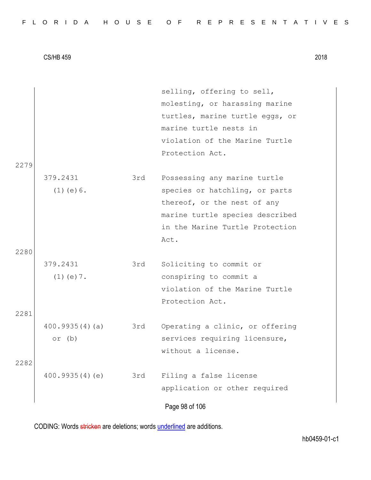|      |                 |     | selling, offering to sell,      |
|------|-----------------|-----|---------------------------------|
|      |                 |     | molesting, or harassing marine  |
|      |                 |     | turtles, marine turtle eggs, or |
|      |                 |     | marine turtle nests in          |
|      |                 |     | violation of the Marine Turtle  |
|      |                 |     | Protection Act.                 |
| 2279 |                 |     |                                 |
|      | 379.2431        | 3rd | Possessing any marine turtle    |
|      | $(1)$ (e) $6$ . |     | species or hatchling, or parts  |
|      |                 |     | thereof, or the nest of any     |
|      |                 |     | marine turtle species described |
|      |                 |     | in the Marine Turtle Protection |
|      |                 |     | Act.                            |
| 2280 |                 |     |                                 |
|      | 379.2431        | 3rd | Soliciting to commit or         |
|      | $(1)$ (e) $7$ . |     | conspiring to commit a          |
|      |                 |     | violation of the Marine Turtle  |
|      |                 |     | Protection Act.                 |
| 2281 |                 |     |                                 |
|      | 400.9935(4)(a)  | 3rd | Operating a clinic, or offering |
|      | or $(b)$        |     | services requiring licensure,   |
|      |                 |     | without a license.              |
| 2282 |                 |     |                                 |
|      | 400.9935(4)(e)  | 3rd | Filing a false license          |
|      |                 |     | application or other required   |
|      |                 |     |                                 |
|      |                 |     | Page 98 of 106                  |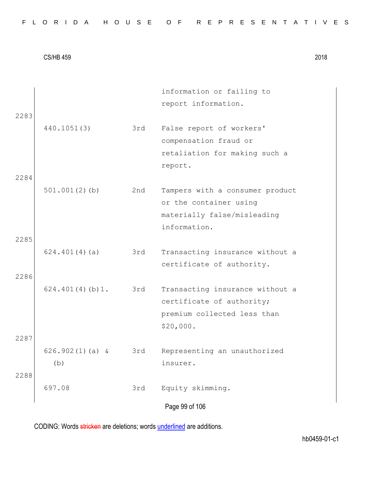|  |  |  |  |  |  | FLORIDA HOUSE OF REPRESENTATIVES |  |  |  |  |  |  |  |  |
|--|--|--|--|--|--|----------------------------------|--|--|--|--|--|--|--|--|
|  |  |  |  |  |  |                                  |  |  |  |  |  |  |  |  |

|      |                   |     | information or failing to       |
|------|-------------------|-----|---------------------------------|
|      |                   |     | report information.             |
| 2283 |                   |     |                                 |
|      | 440.1051(3)       | 3rd | False report of workers'        |
|      |                   |     | compensation fraud or           |
|      |                   |     | retaliation for making such a   |
|      |                   |     | report.                         |
| 2284 |                   |     |                                 |
|      | $501.001(2)$ (b)  | 2nd | Tampers with a consumer product |
|      |                   |     | or the container using          |
|      |                   |     | materially false/misleading     |
|      |                   |     | information.                    |
| 2285 |                   |     |                                 |
|      | 624.401(4)(a)     | 3rd | Transacting insurance without a |
|      |                   |     | certificate of authority.       |
| 2286 |                   |     |                                 |
|      | 624.401(4)(b)1.   | 3rd | Transacting insurance without a |
|      |                   |     | certificate of authority;       |
|      |                   |     | premium collected less than     |
|      |                   |     | \$20,000.                       |
| 2287 |                   |     |                                 |
|      | $626.902(1)(a)$ & | 3rd | Representing an unauthorized    |
|      | (b)               |     | insurer.                        |
| 2288 |                   |     |                                 |
|      | 697.08            | 3rd | Equity skimming.                |
|      |                   |     | Page 99 of 106                  |
|      |                   |     |                                 |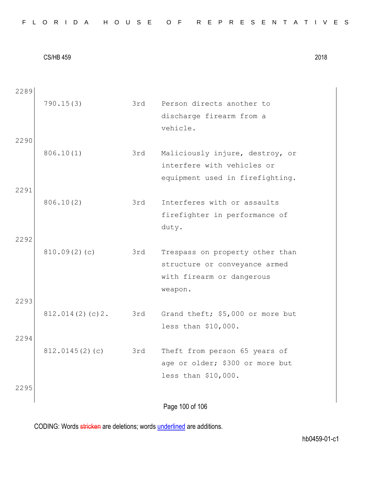Page 100 of 106 2289 790.15(3) 3rd Person directs another to discharge firearm from a vehicle. 2290 806.10(1) 3rd Maliciously injure, destroy, or interfere with vehicles or equipment used in firefighting. 2291 806.10(2) 3rd Interferes with or assaults firefighter in performance of duty. 2292 810.09(2)(c) 3rd Trespass on property other than structure or conveyance armed with firearm or dangerous weapon. 2293 812.014(2)(c)2. 3rd Grand theft; \$5,000 or more but less than \$10,000. 2294 812.0145(2)(c) 3rd Theft from person 65 years of age or older; \$300 or more but less than \$10,000. 2295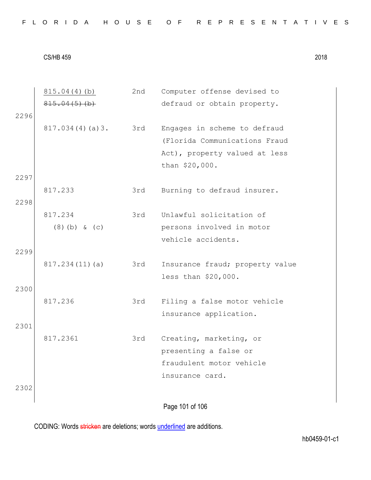2nd Computer offense devised to

CS/HB 459 2018

815.04(4)(b)

 $815.04(5)(b)$ defraud or obtain property. 2296 817.034(4)(a)3. 3rd Engages in scheme to defraud (Florida Communications Fraud Act), property valued at less than \$20,000. 2297 817.233 3rd Burning to defraud insurer. 2298 817.234 (8)(b) & (c) 3rd Unlawful solicitation of persons involved in motor vehicle accidents. 2299 817.234(11)(a) 3rd Insurance fraud; property value less than \$20,000. 2300 817.236 3rd Filing a false motor vehicle insurance application. 2301 817.2361 3rd Creating, marketing, or presenting a false or fraudulent motor vehicle insurance card. 2302

Page 101 of 106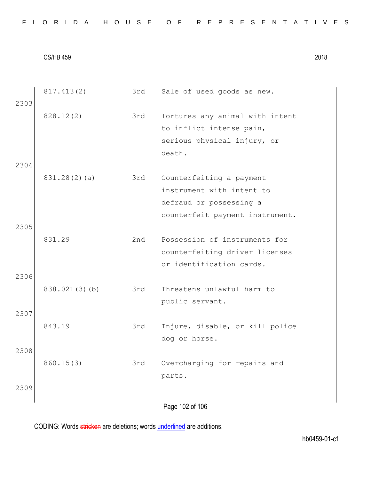|      | 817.413(2)    | 3rd | Sale of used goods as new.      |
|------|---------------|-----|---------------------------------|
| 2303 |               |     |                                 |
|      | 828.12(2)     | 3rd | Tortures any animal with intent |
|      |               |     | to inflict intense pain,        |
|      |               |     | serious physical injury, or     |
|      |               |     | death.                          |
| 2304 |               |     |                                 |
|      | 831.28(2)(a)  | 3rd | Counterfeiting a payment        |
|      |               |     | instrument with intent to       |
|      |               |     | defraud or possessing a         |
|      |               |     | counterfeit payment instrument. |
| 2305 |               |     |                                 |
|      | 831.29        | 2nd | Possession of instruments for   |
|      |               |     | counterfeiting driver licenses  |
|      |               |     | or identification cards.        |
| 2306 |               |     |                                 |
|      | 838.021(3)(b) | 3rd | Threatens unlawful harm to      |
|      |               |     | public servant.                 |
| 2307 |               |     |                                 |
|      | 843.19        | 3rd | Injure, disable, or kill police |
|      |               |     | dog or horse.                   |
| 2308 |               |     |                                 |
|      | 860.15(3)     | 3rd | Overcharging for repairs and    |
|      |               |     | parts.                          |
| 2309 |               |     |                                 |
|      |               |     |                                 |
|      |               |     | Page 102 of 106                 |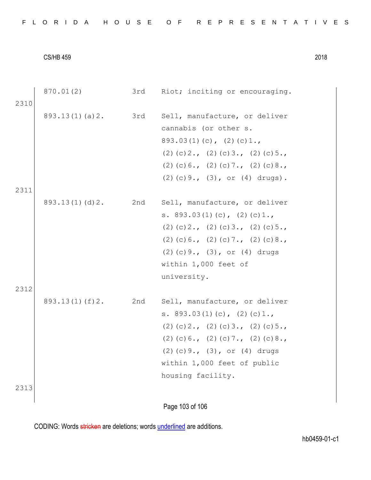| 2310 | 870.01(2)          | 3rd | Riot; inciting or encouraging.                                                                                                                                                                                                                |
|------|--------------------|-----|-----------------------------------------------------------------------------------------------------------------------------------------------------------------------------------------------------------------------------------------------|
|      | 893.13(1)(a)2.     | 3rd | Sell, manufacture, or deliver<br>cannabis (or other s.<br>$893.03(1)(c)$ , $(2)(c)1.$<br>$(2)$ (c) 2., (2) (c) 3., (2) (c) 5.,<br>$(2)$ (c) 6., (2) (c) 7., (2) (c) 8.,<br>$(2)$ (c) 9., (3), or (4) drugs).                                  |
| 2311 |                    |     |                                                                                                                                                                                                                                               |
| 2312 | 893.13(1)(d)2.     | 2nd | Sell, manufacture, or deliver<br>s. $893.03(1)(c)$ , $(2)(c)1.$<br>$(2)$ (c) 2., (2) (c) 3., (2) (c) 5.,<br>$(2)$ (c) 6., (2) (c) 7., (2) (c) 8.,<br>$(2)$ (c) 9., $(3)$ , or $(4)$ drugs<br>within 1,000 feet of<br>university.              |
|      | $893.13(1)$ (f) 2. | 2nd | Sell, manufacture, or deliver<br>s. $893.03(1)(c)$ , $(2)(c)1.$<br>$(2)$ (c) 2., (2) (c) 3., (2) (c) 5.,<br>$(2)$ (c) 6., (2) (c) 7., (2) (c) 8.,<br>$(2)$ (c) 9., $(3)$ , or $(4)$ drugs<br>within 1,000 feet of public<br>housing facility. |
| 2313 |                    |     |                                                                                                                                                                                                                                               |

Page 103 of 106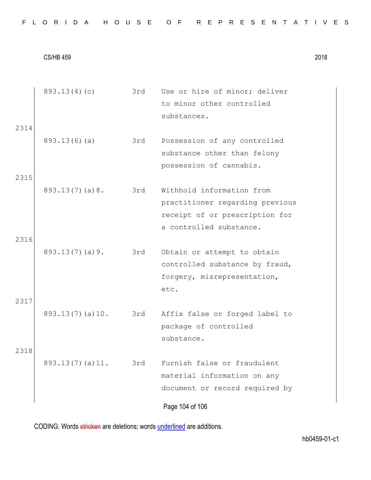|  |  |  |  |  |  |  |  |  |  | FLORIDA HOUSE OF REPRESENTATIVES |  |  |  |  |  |  |  |  |  |  |  |  |  |  |  |  |
|--|--|--|--|--|--|--|--|--|--|----------------------------------|--|--|--|--|--|--|--|--|--|--|--|--|--|--|--|--|
|--|--|--|--|--|--|--|--|--|--|----------------------------------|--|--|--|--|--|--|--|--|--|--|--|--|--|--|--|--|

| 2314         | 893.13(4)(c)    | 3rd | Use or hire of minor; deliver<br>to minor other controlled<br>substances.                                                 |
|--------------|-----------------|-----|---------------------------------------------------------------------------------------------------------------------------|
|              | 893.13(6)(a)    | 3rd | Possession of any controlled<br>substance other than felony<br>possession of cannabis.                                    |
| 2315         | 893.13(7)(a)8.  | 3rd | Withhold information from<br>practitioner regarding previous<br>receipt of or prescription for<br>a controlled substance. |
| 2316         | 893.13(7)(a)9.  | 3rd | Obtain or attempt to obtain<br>controlled substance by fraud,<br>forgery, misrepresentation,<br>etc.                      |
| 2317<br>2318 | 893.13(7)(a)10. | 3rd | Affix false or forged label to<br>package of controlled<br>substance.                                                     |
|              | 893.13(7)(a)11. | 3rd | Furnish false or fraudulent<br>material information on any<br>document or record required by<br>Page 104 of 106           |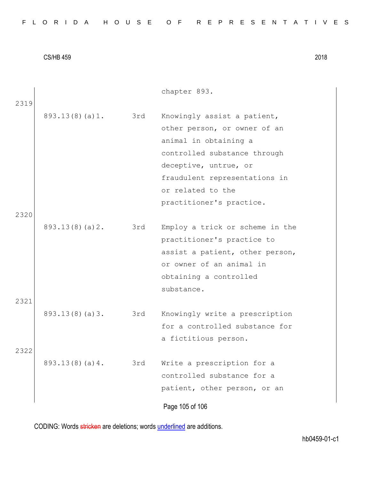| FLORIDA HOUSE OF REPRESENTATIVES |  |  |  |  |  |  |  |  |  |  |  |  |  |  |  |  |  |  |  |  |  |  |  |  |
|----------------------------------|--|--|--|--|--|--|--|--|--|--|--|--|--|--|--|--|--|--|--|--|--|--|--|--|
|----------------------------------|--|--|--|--|--|--|--|--|--|--|--|--|--|--|--|--|--|--|--|--|--|--|--|--|

|      |                |     | chapter 893.                    |  |
|------|----------------|-----|---------------------------------|--|
| 2319 |                |     |                                 |  |
|      | 893.13(8)(a)1. | 3rd | Knowingly assist a patient,     |  |
|      |                |     | other person, or owner of an    |  |
|      |                |     | animal in obtaining a           |  |
|      |                |     | controlled substance through    |  |
|      |                |     | deceptive, untrue, or           |  |
|      |                |     | fraudulent representations in   |  |
|      |                |     | or related to the               |  |
|      |                |     | practitioner's practice.        |  |
| 2320 |                |     |                                 |  |
|      | 893.13(8)(a)2. | 3rd | Employ a trick or scheme in the |  |
|      |                |     | practitioner's practice to      |  |
|      |                |     | assist a patient, other person, |  |
|      |                |     | or owner of an animal in        |  |
|      |                |     | obtaining a controlled          |  |
|      |                |     | substance.                      |  |
| 2321 |                |     |                                 |  |
|      | 893.13(8)(a)3. | 3rd | Knowingly write a prescription  |  |
|      |                |     | for a controlled substance for  |  |
|      |                |     | a fictitious person.            |  |
| 2322 |                |     |                                 |  |
|      | 893.13(8)(a)4. | 3rd | Write a prescription for a      |  |
|      |                |     | controlled substance for a      |  |
|      |                |     | patient, other person, or an    |  |
|      |                |     | Page 105 of 106                 |  |